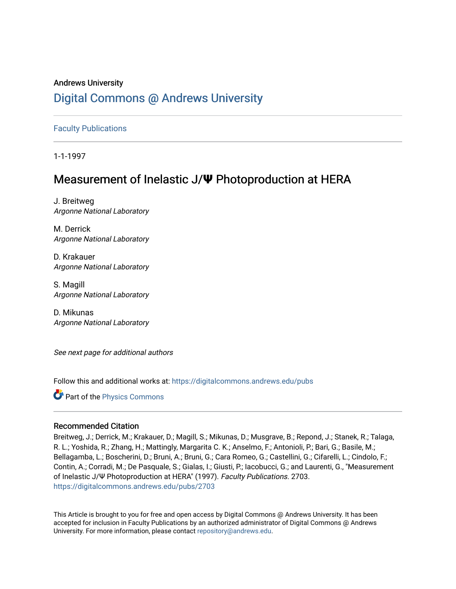# Andrews University [Digital Commons @ Andrews University](https://digitalcommons.andrews.edu/)

#### [Faculty Publications](https://digitalcommons.andrews.edu/pubs)

1-1-1997

## Measurement of Inelastic J/**Ψ** Photoproduction at HERA

J. Breitweg Argonne National Laboratory

M. Derrick Argonne National Laboratory

D. Krakauer Argonne National Laboratory

S. Magill Argonne National Laboratory

D. Mikunas Argonne National Laboratory

See next page for additional authors

Follow this and additional works at: [https://digitalcommons.andrews.edu/pubs](https://digitalcommons.andrews.edu/pubs?utm_source=digitalcommons.andrews.edu%2Fpubs%2F2703&utm_medium=PDF&utm_campaign=PDFCoverPages) 

**Part of the [Physics Commons](http://network.bepress.com/hgg/discipline/193?utm_source=digitalcommons.andrews.edu%2Fpubs%2F2703&utm_medium=PDF&utm_campaign=PDFCoverPages)** 

#### Recommended Citation

Breitweg, J.; Derrick, M.; Krakauer, D.; Magill, S.; Mikunas, D.; Musgrave, B.; Repond, J.; Stanek, R.; Talaga, R. L.; Yoshida, R.; Zhang, H.; Mattingly, Margarita C. K.; Anselmo, F.; Antonioli, P.; Bari, G.; Basile, M.; Bellagamba, L.; Boscherini, D.; Bruni, A.; Bruni, G.; Cara Romeo, G.; Castellini, G.; Cifarelli, L.; Cindolo, F.; Contin, A.; Corradi, M.; De Pasquale, S.; Gialas, I.; Giusti, P.; Iacobucci, G.; and Laurenti, G., "Measurement of Inelastic J/Ψ Photoproduction at HERA" (1997). Faculty Publications. 2703. [https://digitalcommons.andrews.edu/pubs/2703](https://digitalcommons.andrews.edu/pubs/2703?utm_source=digitalcommons.andrews.edu%2Fpubs%2F2703&utm_medium=PDF&utm_campaign=PDFCoverPages) 

This Article is brought to you for free and open access by Digital Commons @ Andrews University. It has been accepted for inclusion in Faculty Publications by an authorized administrator of Digital Commons @ Andrews University. For more information, please contact [repository@andrews.edu](mailto:repository@andrews.edu).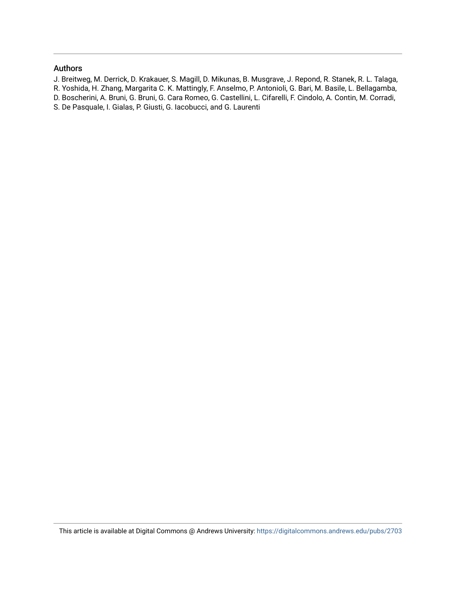#### Authors

- J. Breitweg, M. Derrick, D. Krakauer, S. Magill, D. Mikunas, B. Musgrave, J. Repond, R. Stanek, R. L. Talaga,
- R. Yoshida, H. Zhang, Margarita C. K. Mattingly, F. Anselmo, P. Antonioli, G. Bari, M. Basile, L. Bellagamba,
- D. Boscherini, A. Bruni, G. Bruni, G. Cara Romeo, G. Castellini, L. Cifarelli, F. Cindolo, A. Contin, M. Corradi,
- S. De Pasquale, I. Gialas, P. Giusti, G. Iacobucci, and G. Laurenti

This article is available at Digital Commons @ Andrews University:<https://digitalcommons.andrews.edu/pubs/2703>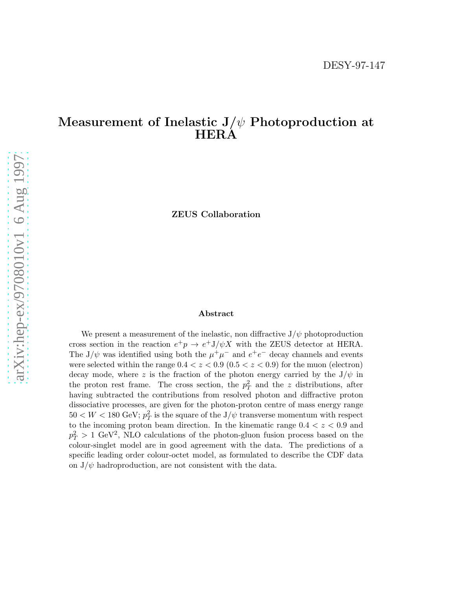# Measurement of Inelastic  $J/\psi$  Photoproduction at HERA

ZEUS Collaboration

#### Abstract

We present a measurement of the inelastic, non diffractive  $J/\psi$  photoproduction cross section in the reaction  $e^+p \to e^+ J/\psi X$  with the ZEUS detector at HERA. The J/ $\psi$  was identified using both the  $\mu^+\mu^-$  and  $e^+e^-$  decay channels and events were selected within the range  $0.4 < z < 0.9$   $(0.5 < z < 0.9)$  for the muon (electron) decay mode, where z is the fraction of the photon energy carried by the  $J/\psi$  in the proton rest frame. The cross section, the  $p_T^2$  and the z distributions, after having subtracted the contributions from resolved photon and diffractive proton dissociative processes, are given for the photon-proton centre of mass energy range  $50 < W < 180$  GeV;  $p_T^2$  is the square of the  ${\mathrm J}/\psi$  transverse momentum with respect to the incoming proton beam direction. In the kinematic range  $0.4 < z < 0.9$  and  $p_T^2 > 1$  GeV<sup>2</sup>, NLO calculations of the photon-gluon fusion process based on the colour-singlet model are in good agreement with the data. The predictions of a specific leading order colour-octet model, as formulated to describe the CDF data on  $J/\psi$  hadroproduction, are not consistent with the data.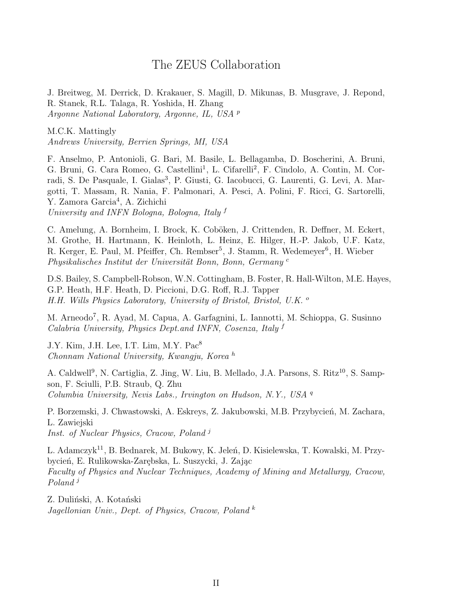## The ZEUS Collaboration

J. Breitweg, M. Derrick, D. Krakauer, S. Magill, D. Mikunas, B. Musgrave, J. Repond, R. Stanek, R.L. Talaga, R. Yoshida, H. Zhang Argonne National Laboratory, Argonne, IL, USA <sup>p</sup>

M.C.K. Mattingly Andrews University, Berrien Springs, MI, USA

F. Anselmo, P. Antonioli, G. Bari, M. Basile, L. Bellagamba, D. Boscherini, A. Bruni, G. Bruni, G. Cara Romeo, G. Castellini<sup>1</sup>, L. Cifarelli<sup>2</sup>, F. Cindolo, A. Contin, M. Corradi, S. De Pasquale, I. Gialas<sup>3</sup>, P. Giusti, G. Iacobucci, G. Laurenti, G. Levi, A. Margotti, T. Massam, R. Nania, F. Palmonari, A. Pesci, A. Polini, F. Ricci, G. Sartorelli, Y. Zamora Garcia<sup>4</sup>, A. Zichichi University and INFN Bologna, Bologna, Italy <sup>f</sup>

C. Amelung, A. Bornheim, I. Brock, K. Coböken, J. Crittenden, R. Deffner, M. Eckert, M. Grothe, H. Hartmann, K. Heinloth, L. Heinz, E. Hilger, H.-P. Jakob, U.F. Katz, R. Kerger, E. Paul, M. Pfeiffer, Ch. Rembser<sup>5</sup>, J. Stamm, R. Wedemeyer<sup>6</sup>, H. Wieber Physikalisches Institut der Universität Bonn, Bonn, Germany<sup>c</sup>

D.S. Bailey, S. Campbell-Robson, W.N. Cottingham, B. Foster, R. Hall-Wilton, M.E. Hayes, G.P. Heath, H.F. Heath, D. Piccioni, D.G. Roff, R.J. Tapper H.H. Wills Physics Laboratory, University of Bristol, Bristol, U.K. <sup>o</sup>

M. Arneodo<sup>7</sup> , R. Ayad, M. Capua, A. Garfagnini, L. Iannotti, M. Schioppa, G. Susinno Calabria University, Physics Dept.and INFN, Cosenza, Italy f

J.Y. Kim, J.H. Lee, I.T. Lim, M.Y. Pac<sup>8</sup> Chonnam National University, Kwangju, Korea <sup>h</sup>

A. Caldwell<sup>9</sup>, N. Cartiglia, Z. Jing, W. Liu, B. Mellado, J.A. Parsons, S. Ritz<sup>10</sup>, S. Sampson, F. Sciulli, P.B. Straub, Q. Zhu Columbia University, Nevis Labs., Irvington on Hudson, N.Y., USA <sup>q</sup>

P. Borzemski, J. Chwastowski, A. Eskreys, Z. Jakubowski, M.B. Przybycień, M. Zachara, L. Zawiejski Inst. of Nuclear Physics, Cracow, Poland<sup>j</sup>

L. Adamczyk<sup>11</sup>, B. Bednarek, M. Bukowy, K. Jeleń, D. Kisielewska, T. Kowalski, M. Przybycień, E. Rulikowska-Zarębska, L. Suszycki, J. Zając Faculty of Physics and Nuclear Techniques, Academy of Mining and Metallurgy, Cracow, Poland<sup>j</sup>

Z. Duliński, A. Kotański Jagellonian Univ., Dept. of Physics, Cracow, Poland <sup>k</sup>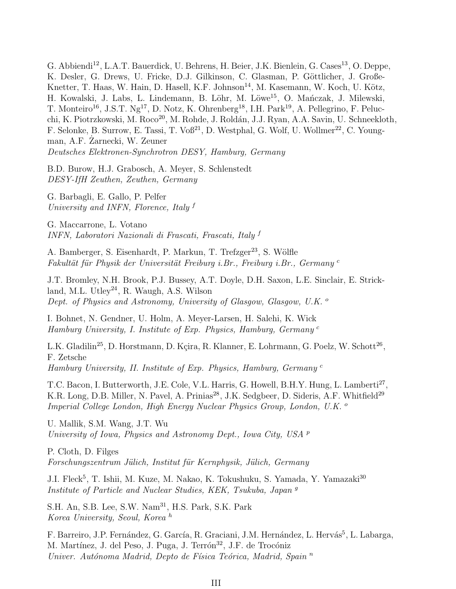G. Abbiendi<sup>12</sup>, L.A.T. Bauerdick, U. Behrens, H. Beier, J.K. Bienlein, G. Cases<sup>13</sup>, O. Deppe, K. Desler, G. Drews, U. Fricke, D.J. Gilkinson, C. Glasman, P. Göttlicher, J. Große-Knetter, T. Haas, W. Hain, D. Hasell, K.F. Johnson<sup>14</sup>, M. Kasemann, W. Koch, U. Kötz, H. Kowalski, J. Labs, L. Lindemann, B. Löhr, M. Löwe<sup>15</sup>, O. Mańczak, J. Milewski, T. Monteiro<sup>16</sup>, J.S.T. Ng<sup>17</sup>, D. Notz, K. Ohrenberg<sup>18</sup>, I.H. Park<sup>19</sup>, A. Pellegrino, F. Pelucchi, K. Piotrzkowski, M. Roco<sup>20</sup>, M. Rohde, J. Roldán, J.J. Ryan, A.A. Savin, U. Schneekloth, F. Selonke, B. Surrow, E. Tassi, T. Voß<sup>21</sup>, D. Westphal, G. Wolf, U. Wollmer<sup>22</sup>, C. Youngman, A.F. Zarnecki, W. Zeuner Deutsches Elektronen-Synchrotron DESY, Hamburg, Germany

B.D. Burow, H.J. Grabosch, A. Meyer, S. Schlenstedt DESY-IfH Zeuthen, Zeuthen, Germany

G. Barbagli, E. Gallo, P. Pelfer University and INFN, Florence, Italy <sup>f</sup>

G. Maccarrone, L. Votano INFN, Laboratori Nazionali di Frascati, Frascati, Italy <sup>f</sup>

A. Bamberger, S. Eisenhardt, P. Markun, T. Trefzger<sup>23</sup>, S. Wölfle Fakultät für Physik der Universität Freiburg i.Br., Freiburg i.Br., Germany<sup>c</sup>

J.T. Bromley, N.H. Brook, P.J. Bussey, A.T. Doyle, D.H. Saxon, L.E. Sinclair, E. Strickland, M.L. Utley<sup>24</sup>, R. Waugh, A.S. Wilson Dept. of Physics and Astronomy, University of Glasgow, Glasgow, U.K. <sup>o</sup>

I. Bohnet, N. Gendner, U. Holm, A. Meyer-Larsen, H. Salehi, K. Wick Hamburg University, I. Institute of Exp. Physics, Hamburg, Germany <sup>c</sup>

L.K. Gladilin<sup>25</sup>, D. Horstmann, D. Kçira, R. Klanner, E. Lohrmann, G. Poelz, W. Schott<sup>26</sup>, F. Zetsche Hamburg University, II. Institute of Exp. Physics, Hamburg, Germany <sup>c</sup>

T.C. Bacon, I. Butterworth, J.E. Cole, V.L. Harris, G. Howell, B.H.Y. Hung, L. Lamberti<sup>27</sup>, K.R. Long, D.B. Miller, N. Pavel, A. Prinias<sup>28</sup>, J.K. Sedgbeer, D. Sideris, A.F. Whitfield<sup>29</sup> Imperial College London, High Energy Nuclear Physics Group, London, U.K. <sup>o</sup>

U. Mallik, S.M. Wang, J.T. Wu University of Iowa, Physics and Astronomy Dept., Iowa City, USA  $^p$ 

P. Cloth, D. Filges Forschungszentrum Jülich, Institut für Kernphysik, Jülich, Germany

J.I. Fleck<sup>5</sup>, T. Ishii, M. Kuze, M. Nakao, K. Tokushuku, S. Yamada, Y. Yamazaki<sup>30</sup> Institute of Particle and Nuclear Studies, KEK, Tsukuba, Japan <sup>g</sup>

S.H. An, S.B. Lee, S.W. Nam<sup>31</sup>, H.S. Park, S.K. Park Korea University, Seoul, Korea <sup>h</sup>

F. Barreiro, J.P. Fernández, G. García, R. Graciani, J.M. Hernández, L. Hervás<sup>5</sup>, L. Labarga, M. Martínez, J. del Peso, J. Puga, J. Terrón<sup>32</sup>, J.F. de Trocóniz Univer. Autónoma Madrid, Depto de Física Teórica, Madrid, Spain  $<sup>n</sup>$ </sup>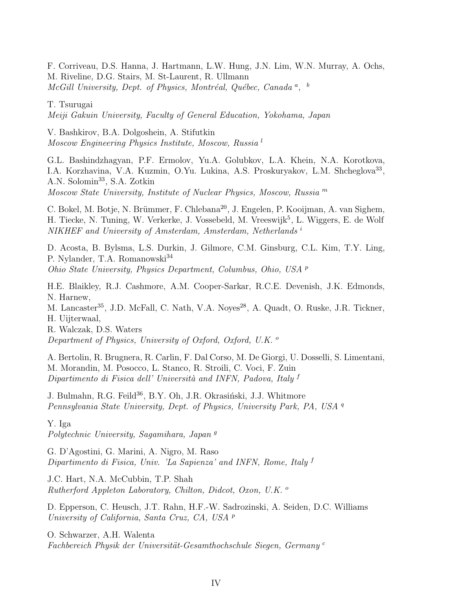F. Corriveau, D.S. Hanna, J. Hartmann, L.W. Hung, J.N. Lim, W.N. Murray, A. Ochs, M. Riveline, D.G. Stairs, M. St-Laurent, R. Ullmann  $McGill$  University, Dept. of Physics, Montréal, Québec, Canada<sup>a</sup>, <sup>b</sup>

T. Tsurugai

Meiji Gakuin University, Faculty of General Education, Yokohama, Japan

V. Bashkirov, B.A. Dolgoshein, A. Stifutkin Moscow Engineering Physics Institute, Moscow, Russia <sup>l</sup>

G.L. Bashindzhagyan, P.F. Ermolov, Yu.A. Golubkov, L.A. Khein, N.A. Korotkova, I.A. Korzhavina, V.A. Kuzmin, O.Yu. Lukina, A.S. Proskuryakov, L.M. Shcheglova<sup>33</sup>, A.N. Solomin<sup>33</sup>, S.A. Zotkin Moscow State University, Institute of Nuclear Physics, Moscow, Russia <sup>m</sup>

C. Bokel, M. Botje, N. Brümmer, F. Chlebana<sup>20</sup>, J. Engelen, P. Kooijman, A. van Sighem, H. Tiecke, N. Tuning, W. Verkerke, J. Vossebeld, M. Vreeswijk<sup>5</sup>, L. Wiggers, E. de Wolf NIKHEF and University of Amsterdam, Amsterdam, Netherlands i

D. Acosta, B. Bylsma, L.S. Durkin, J. Gilmore, C.M. Ginsburg, C.L. Kim, T.Y. Ling, P. Nylander, T.A. Romanowski<sup>34</sup> Ohio State University, Physics Department, Columbus, Ohio, USA <sup>p</sup>

H.E. Blaikley, R.J. Cashmore, A.M. Cooper-Sarkar, R.C.E. Devenish, J.K. Edmonds, N. Harnew,

M. Lancaster<sup>35</sup>, J.D. McFall, C. Nath, V.A. Noves<sup>28</sup>, A. Quadt, O. Ruske, J.R. Tickner, H. Uijterwaal,

R. Walczak, D.S. Waters Department of Physics, University of Oxford, Oxford, U.K.  $^{\circ}$ 

A. Bertolin, R. Brugnera, R. Carlin, F. Dal Corso, M. De Giorgi, U. Dosselli, S. Limentani, M. Morandin, M. Posocco, L. Stanco, R. Stroili, C. Voci, F. Zuin Dipartimento di Fisica dell' Università and INFN, Padova, Italy f

J. Bulmahn, R.G. Feild<sup>36</sup>, B.Y. Oh, J.R. Okrasiński, J.J. Whitmore Pennsylvania State University, Dept. of Physics, University Park, PA, USA <sup>q</sup>

Y. Iga Polytechnic University, Sagamihara, Japan <sup>g</sup>

G. D'Agostini, G. Marini, A. Nigro, M. Raso Dipartimento di Fisica, Univ. 'La Sapienza' and INFN, Rome, Italy <sup>f</sup>

J.C. Hart, N.A. McCubbin, T.P. Shah Rutherford Appleton Laboratory, Chilton, Didcot, Oxon, U.K. <sup>o</sup>

D. Epperson, C. Heusch, J.T. Rahn, H.F.-W. Sadrozinski, A. Seiden, D.C. Williams University of California, Santa Cruz, CA, USA <sup>p</sup>

O. Schwarzer, A.H. Walenta Fachbereich Physik der Universität-Gesamthochschule Siegen, Germany<sup>c</sup>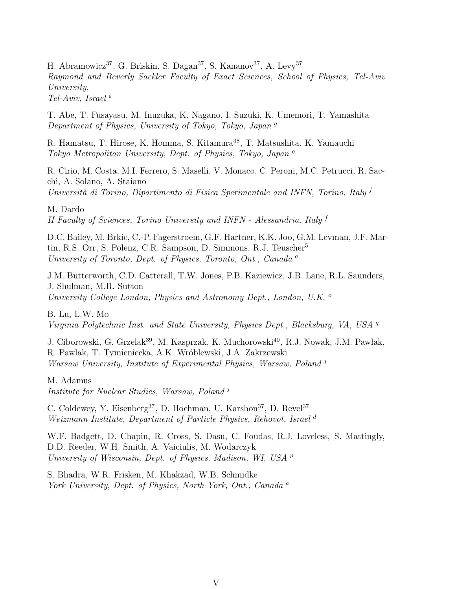H. Abramowicz<sup>37</sup>, G. Briskin, S. Dagan<sup>37</sup>, S. Kananov<sup>37</sup>, A. Levy<sup>37</sup> Raymond and Beverly Sackler Faculty of Exact Sciences, School of Physics, Tel-Aviv University, Tel-Aviv, Israel  $e$ 

T. Abe, T. Fusayasu, M. Inuzuka, K. Nagano, I. Suzuki, K. Umemori, T. Yamashita Department of Physics, University of Tokyo, Tokyo, Japan <sup>g</sup>

R. Hamatsu, T. Hirose, K. Homma, S. Kitamura<sup>38</sup>, T. Matsushita, K. Yamauchi Tokyo Metropolitan University, Dept. of Physics, Tokyo, Japan <sup>g</sup>

R. Cirio, M. Costa, M.I. Ferrero, S. Maselli, V. Monaco, C. Peroni, M.C. Petrucci, R. Sacchi, A. Solano, A. Staiano Università di Torino, Dipartimento di Fisica Sperimentale and INFN, Torino, Italy f

M. Dardo

II Faculty of Sciences, Torino University and INFN - Alessandria, Italy <sup>f</sup>

D.C. Bailey, M. Brkic, C.-P. Fagerstroem, G.F. Hartner, K.K. Joo, G.M. Levman, J.F. Martin, R.S. Orr, S. Polenz, C.R. Sampson, D. Simmons, R.J. Teuscher<sup>5</sup> University of Toronto, Dept. of Physics, Toronto, Ont., Canada <sup>a</sup>

J.M. Butterworth, C.D. Catterall, T.W. Jones, P.B. Kaziewicz, J.B. Lane, R.L. Saunders, J. Shulman, M.R. Sutton University College London, Physics and Astronomy Dept., London, U.K. <sup>o</sup>

B. Lu, L.W. Mo Virginia Polytechnic Inst. and State University, Physics Dept., Blacksburg, VA, USA <sup>q</sup>

J. Ciborowski, G. Grzelak<sup>39</sup>, M. Kasprzak, K. Muchorowski<sup>40</sup>, R.J. Nowak, J.M. Pawlak, R. Pawlak, T. Tymieniecka, A.K. Wróblewski, J.A. Zakrzewski Warsaw University, Institute of Experimental Physics, Warsaw, Poland<sup>j</sup>

M. Adamus Institute for Nuclear Studies, Warsaw, Poland<sup>j</sup>

C. Coldewey, Y. Eisenberg<sup>37</sup>, D. Hochman, U. Karshon<sup>37</sup>, D. Revel<sup>37</sup> Weizmann Institute, Department of Particle Physics, Rehovot, Israel<sup>d</sup>

W.F. Badgett, D. Chapin, R. Cross, S. Dasu, C. Foudas, R.J. Loveless, S. Mattingly, D.D. Reeder, W.H. Smith, A. Vaiciulis, M. Wodarczyk University of Wisconsin, Dept. of Physics, Madison, WI, USA <sup>p</sup>

S. Bhadra, W.R. Frisken, M. Khakzad, W.B. Schmidke York University, Dept. of Physics, North York, Ont., Canada<sup>a</sup>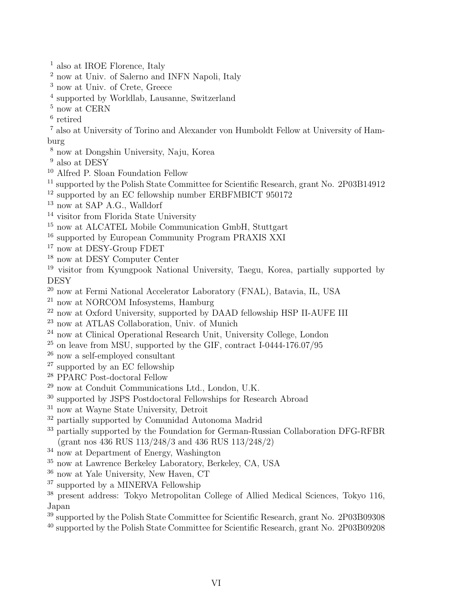- <sup>1</sup> also at IROE Florence, Italy
- <sup>2</sup> now at Univ. of Salerno and INFN Napoli, Italy
- <sup>3</sup> now at Univ. of Crete, Greece
- 4 supported by Worldlab, Lausanne, Switzerland
- $^5$  now at CERN  $\,$
- 6 retired
- <sup>7</sup> also at University of Torino and Alexander von Humboldt Fellow at University of Hamburg
- <sup>8</sup> now at Dongshin University, Naju, Korea
- <sup>9</sup> also at DESY
- <sup>10</sup> Alfred P. Sloan Foundation Fellow
- <sup>11</sup> supported by the Polish State Committee for Scientific Research, grant No. 2P03B14912
- <sup>12</sup> supported by an EC fellowship number ERBFMBICT 950172
- <sup>13</sup> now at SAP A.G., Walldorf
- <sup>14</sup> visitor from Florida State University
- <sup>15</sup> now at ALCATEL Mobile Communication GmbH, Stuttgart
- <sup>16</sup> supported by European Community Program PRAXIS XXI
- <sup>17</sup> now at DESY-Group FDET
- $^{18}$  now at DESY Computer Center
- <sup>19</sup> visitor from Kyungpook National University, Taegu, Korea, partially supported by **DESY**
- $\frac{20}{20}$  now at Fermi National Accelerator Laboratory (FNAL), Batavia, IL, USA
- <sup>21</sup> now at NORCOM Infosystems, Hamburg
- <sup>22</sup> now at Oxford University, supported by DAAD fellowship HSP II-AUFE III
- <sup>23</sup> now at ATLAS Collaboration, Univ. of Munich
- <sup>24</sup> now at Clinical Operational Research Unit, University College, London
- $^{25}$  on leave from MSU, supported by the GIF, contract I-0444-176.07/95
- <sup>26</sup> now a self-employed consultant
- <sup>27</sup> supported by an EC fellowship
- <sup>28</sup> PPARC Post-doctoral Fellow
- <sup>29</sup> now at Conduit Communications Ltd., London, U.K.
- <sup>30</sup> supported by JSPS Postdoctoral Fellowships for Research Abroad
- <sup>31</sup> now at Wayne State University, Detroit
- $32$  partially supported by Comunidad Autonoma Madrid
- <sup>33</sup> partially supported by the Foundation for German-Russian Collaboration DFG-RFBR (grant nos 436 RUS 113/248/3 and 436 RUS 113/248/2)
- $34$  now at Department of Energy, Washington
- <sup>35</sup> now at Lawrence Berkeley Laboratory, Berkeley, CA, USA
- <sup>36</sup> now at Yale University, New Haven, CT
- <sup>37</sup> supported by a MINERVA Fellowship
- <sup>38</sup> present address: Tokyo Metropolitan College of Allied Medical Sciences, Tokyo 116, Japan
- <sup>39</sup> supported by the Polish State Committee for Scientific Research, grant No. 2P03B09308
- <sup>40</sup> supported by the Polish State Committee for Scientific Research, grant No. 2P03B09208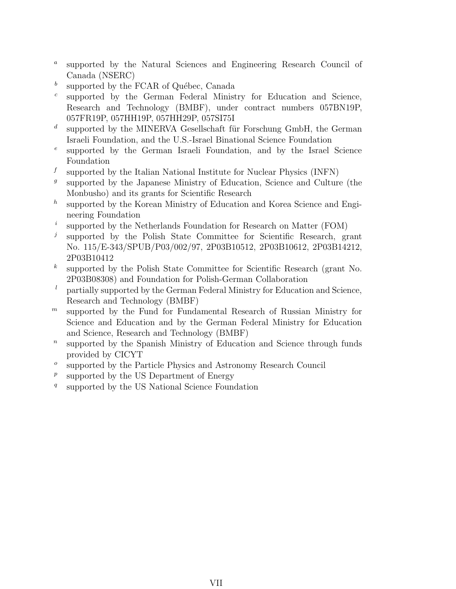- $\boldsymbol{a}$ supported by the Natural Sciences and Engineering Research Council of Canada (NSERC)
- b supported by the FCAR of Québec, Canada
- c supported by the German Federal Ministry for Education and Science, Research and Technology (BMBF), under contract numbers 057BN19P, 057FR19P, 057HH19P, 057HH29P, 057SI75I
- d supported by the MINERVA Gesellschaft für Forschung GmbH, the German Israeli Foundation, and the U.S.-Israel Binational Science Foundation
- e supported by the German Israeli Foundation, and by the Israel Science Foundation
- f supported by the Italian National Institute for Nuclear Physics (INFN)
- g supported by the Japanese Ministry of Education, Science and Culture (the Monbusho) and its grants for Scientific Research
- $h$ supported by the Korean Ministry of Education and Korea Science and Engineering Foundation
- i supported by the Netherlands Foundation for Research on Matter (FOM)
- j supported by the Polish State Committee for Scientific Research, grant No. 115/E-343/SPUB/P03/002/97, 2P03B10512, 2P03B10612, 2P03B14212, 2P03B10412
- $\boldsymbol{k}$ supported by the Polish State Committee for Scientific Research (grant No. 2P03B08308) and Foundation for Polish-German Collaboration
- <sup>l</sup> partially supported by the German Federal Ministry for Education and Science, Research and Technology (BMBF)
- $<sup>m</sup>$  supported by the Fund for Fundamental Research of Russian Ministry for</sup> Science and Education and by the German Federal Ministry for Education and Science, Research and Technology (BMBF)
- $\boldsymbol{n}$ supported by the Spanish Ministry of Education and Science through funds provided by CICYT
- o supported by the Particle Physics and Astronomy Research Council
- $\boldsymbol{p}$ supported by the US Department of Energy
- q supported by the US National Science Foundation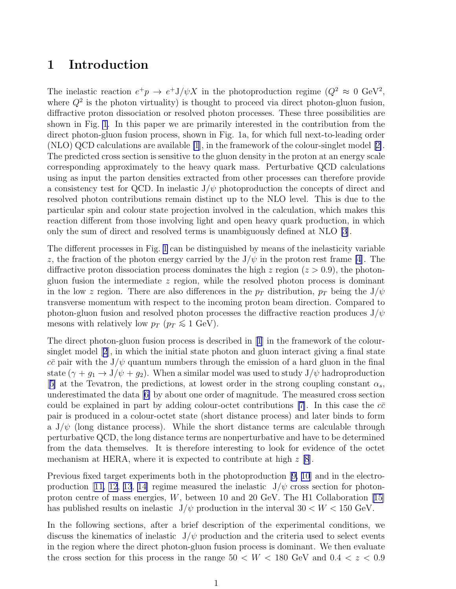### 1 Introduction

The inelastic reaction  $e^+p \to e^+J/\psi X$  in the photoproduction regime  $(Q^2 \approx 0 \text{ GeV}^2,$ where  $Q^2$  is the photon virtuality) is thought to proceed via direct photon-gluon fusion, diffractive proton dissociation or resolved photon processes. These three possibilities are shown in Fig. [1](#page-27-0). In this paper we are primarily interested in the contribution from the direct photon-gluon fusion process, shown in Fig. 1a, for which full next-to-leading order (NLO) QCD calculations are available [\[1](#page-22-0)], in the framework of the colour-singlet model[[2\]](#page-22-0). The predicted cross section is sensitive to the gluon density in the proton at an energy scale corresponding approximately to the heavy quark mass. Perturbative QCD calculations using as input the parton densities extracted from other processes can therefore provide a consistency test for QCD. In inelastic  $J/\psi$  photoproduction the concepts of direct and resolved photon contributions remain distinct up to the NLO level. This is due to the particular spin and colour state projection involved in the calculation, which makes this reaction different from those involving light and open heavy quark production, in which only the sum of direct and resolved terms is unambiguously defined at NLO [\[3](#page-22-0)].

The different processes in Fig. [1](#page-27-0) can be distinguished by means of the inelasticity variable z, the fraction of the photon energy carried by the  $J/\psi$  in the proton rest frame [\[4](#page-22-0)]. The diffractive proton dissociation process dominates the high z region  $(z > 0.9)$ , the photongluon fusion the intermediate z region, while the resolved photon process is dominant in the low z region. There are also differences in the  $p_T$  distribution,  $p_T$  being the  $J/\psi$ transverse momentum with respect to the incoming proton beam direction. Compared to photon-gluon fusion and resolved photon processes the diffractive reaction produces  $J/\psi$ mesons with relatively low  $p_T$  ( $p_T \lesssim 1$  GeV).

The direct photon-gluon fusion process is described in[[1](#page-22-0)] in the framework of the coloursinglet model[[2](#page-22-0)], in which the initial state photon and gluon interact giving a final state  $c\bar{c}$  pair with the J/ $\psi$  quantum numbers through the emission of a hard gluon in the final state  $(\gamma + g_1 \rightarrow J/\psi + g_2)$ . When a similar model was used to study  $J/\psi$  hadroproduction [[5\]](#page-22-0) at the Tevatron, the predictions, at lowest order in the strong coupling constant  $\alpha_s$ , underestimated the data[[6\]](#page-22-0) by about one order of magnitude. The measured cross section could be explained in part by adding colour-octet contributions [\[7\]](#page-22-0). In this case the  $c\bar{c}$ pair is produced in a colour-octet state (short distance process) and later binds to form a  $J/\psi$  (long distance process). While the short distance terms are calculable through perturbative QCD, the long distance terms are nonperturbative and have to be determined from the data themselves. It is therefore interesting to look for evidence of the octet mechanism at HERA, where it is expected to contribute at high  $z$  [\[8](#page-22-0)].

Previous fixed target experiments both in the photoproduction[[9,](#page-22-0) [10](#page-22-0)] and in the electro-production[[11, 12, 13](#page-22-0), [14\]](#page-23-0) regime measured the inelastic  $J/\psi$  cross section for photonproton centre of mass energies, W, between 10 and 20 GeV. The H1 Collaboration [\[15\]](#page-23-0) has published results on inelastic  $J/\psi$  production in the interval  $30 < W < 150$  GeV.

In the following sections, after a brief description of the experimental conditions, we discuss the kinematics of inelastic  $J/\psi$  production and the criteria used to select events in the region where the direct photon-gluon fusion process is dominant. We then evaluate the cross section for this process in the range  $50 < W < 180$  GeV and  $0.4 < z < 0.9$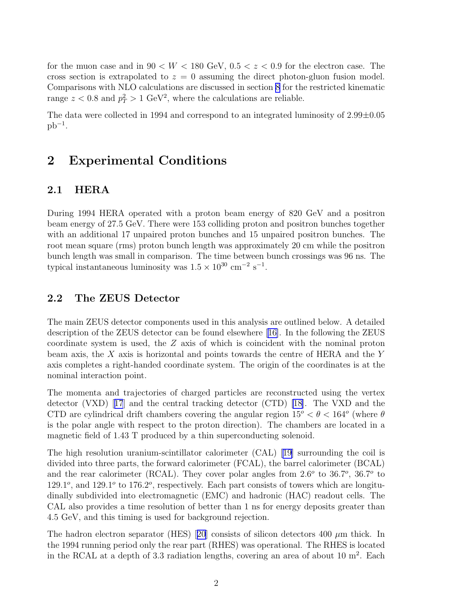<span id="page-10-0"></span>for the muon case and in  $90 \leq W < 180$  GeV,  $0.5 < z < 0.9$  for the electron case. The cross section is extrapolated to  $z = 0$  assuming the direct photon-gluon fusion model. Comparisons with NLO calculations are discussed in section [8](#page-19-0) for the restricted kinematic range  $z < 0.8$  and  $p_T^2 > 1$  GeV<sup>2</sup>, where the calculations are reliable.

The data were collected in 1994 and correspond to an integrated luminosity of  $2.99\pm0.05$  $pb^{-1}.$ 

## 2 Experimental Conditions

### 2.1 HERA

During 1994 HERA operated with a proton beam energy of 820 GeV and a positron beam energy of 27.5 GeV. There were 153 colliding proton and positron bunches together with an additional 17 unpaired proton bunches and 15 unpaired positron bunches. The root mean square (rms) proton bunch length was approximately 20 cm while the positron bunch length was small in comparison. The time between bunch crossings was 96 ns. The typical instantaneous luminosity was  $1.5 \times 10^{30}$  cm<sup>-2</sup> s<sup>-1</sup>.

### 2.2 The ZEUS Detector

The main ZEUS detector components used in this analysis are outlined below. A detailed description of the ZEUS detector can be found elsewhere[[16\]](#page-23-0). In the following the ZEUS coordinate system is used, the Z axis of which is coincident with the nominal proton beam axis, the  $X$  axis is horizontal and points towards the centre of HERA and the  $Y$ axis completes a right-handed coordinate system. The origin of the coordinates is at the nominal interaction point.

The momenta and trajectories of charged particles are reconstructed using the vertex detector (VXD)[[17](#page-23-0)] and the central tracking detector (CTD) [\[18\]](#page-23-0). The VXD and the CTD are cylindrical drift chambers covering the angular region  $15^{\circ} < \theta < 164^{\circ}$  (where  $\theta$ ) is the polar angle with respect to the proton direction). The chambers are located in a magnetic field of 1.43 T produced by a thin superconducting solenoid.

The high resolution uranium-scintillator calorimeter (CAL) [\[19\]](#page-23-0) surrounding the coil is divided into three parts, the forward calorimeter (FCAL), the barrel calorimeter (BCAL) and the rear calorimeter (RCAL). They cover polar angles from  $2.6^{\circ}$  to  $36.7^{\circ}$ ,  $36.7^{\circ}$  to 129.1 $^{\circ}$ , and 129.1 $^{\circ}$  to 176.2 $^{\circ}$ , respectively. Each part consists of towers which are longitudinally subdivided into electromagnetic (EMC) and hadronic (HAC) readout cells. The CAL also provides a time resolution of better than 1 ns for energy deposits greater than 4.5 GeV, and this timing is used for background rejection.

Thehadron electron separator (HES) [[20](#page-23-0)] consists of silicon detectors 400  $\mu$ m thick. In the 1994 running period only the rear part (RHES) was operational. The RHES is located in the RCAL at a depth of 3.3 radiation lengths, covering an area of about 10  $m^2$ . Each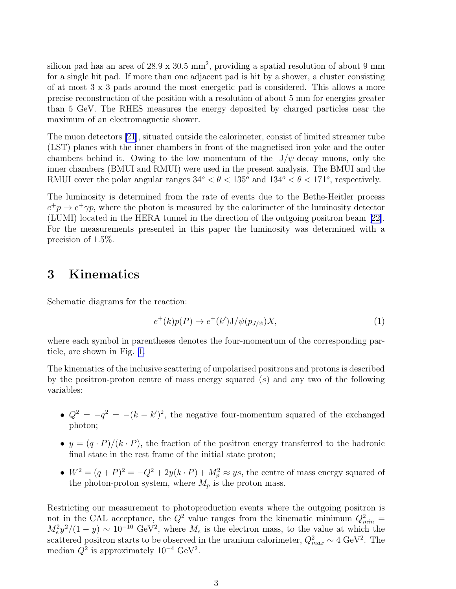<span id="page-11-0"></span>silicon pad has an area of  $28.9 \times 30.5 \text{ mm}^2$ , providing a spatial resolution of about 9 mm for a single hit pad. If more than one adjacent pad is hit by a shower, a cluster consisting of at most 3 x 3 pads around the most energetic pad is considered. This allows a more precise reconstruction of the position with a resolution of about 5 mm for energies greater than 5 GeV. The RHES measures the energy deposited by charged particles near the maximum of an electromagnetic shower.

The muon detectors [\[21](#page-23-0)], situated outside the calorimeter, consist of limited streamer tube (LST) planes with the inner chambers in front of the magnetised iron yoke and the outer chambers behind it. Owing to the low momentum of the  $J/\psi$  decay muons, only the inner chambers (BMUI and RMUI) were used in the present analysis. The BMUI and the RMUI cover the polar angular ranges  $34^{\circ} < \theta < 135^{\circ}$  and  $134^{\circ} < \theta < 171^{\circ}$ , respectively.

The luminosity is determined from the rate of events due to the Bethe-Heitler process  $e^+p \to e^+\gamma p$ , where the photon is measured by the calorimeter of the luminosity detector (LUMI) located in the HERA tunnel in the direction of the outgoing positron beam[[22\]](#page-23-0). For the measurements presented in this paper the luminosity was determined with a precision of 1.5%.

## 3 Kinematics

Schematic diagrams for the reaction:

$$
e^+(k)p(P) \to e^+(k')J/\psi(p_{J/\psi})X,\tag{1}
$$

where each symbol in parentheses denotes the four-momentum of the corresponding particle, are shown in Fig. [1.](#page-27-0)

The kinematics of the inclusive scattering of unpolarised positrons and protons is described by the positron-proton centre of mass energy squared  $(s)$  and any two of the following variables:

- $Q^2 = -q^2 = -(k k')^2$ , the negative four-momentum squared of the exchanged photon;
- $y = (q \cdot P)/(k \cdot P)$ , the fraction of the positron energy transferred to the hadronic final state in the rest frame of the initial state proton;
- $W^2 = (q+P)^2 = -Q^2 + 2y(k \cdot P) + M_p^2 \approx ys$ , the centre of mass energy squared of the photon-proton system, where  $M_p$  is the proton mass.

Restricting our measurement to photoproduction events where the outgoing positron is not in the CAL acceptance, the  $Q^2$  value ranges from the kinematic minimum  $Q_{min}^2 =$  $M_e^2 y^2/(1-y) \sim 10^{-10} \text{ GeV}^2$ , where  $M_e$  is the electron mass, to the value at which the scattered positron starts to be observed in the uranium calorimeter,  $Q_{max}^2 \sim 4 \text{ GeV}^2$ . The median  $Q^2$  is approximately  $10^{-4}$  GeV<sup>2</sup>.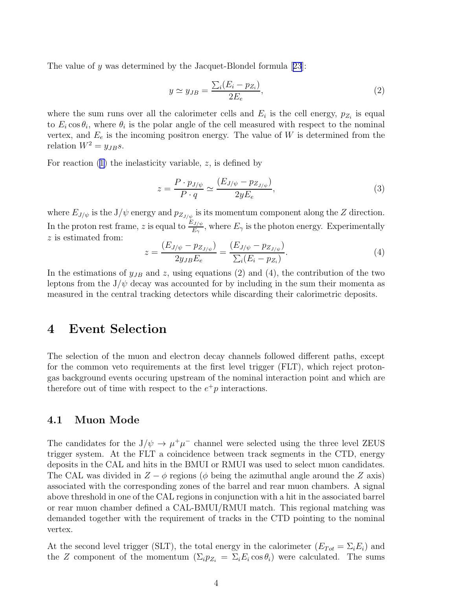Thevalue of y was determined by the Jacquet-Blondel formula  $[23]$  $[23]$  $[23]$ :

$$
y \simeq y_{JB} = \frac{\sum_{i} (E_i - p_{Z_i})}{2E_e},\tag{2}
$$

where the sum runs over all the calorimeter cells and  $E_i$  is the cell energy,  $p_{Z_i}$  is equal to  $E_i \cos \theta_i$ , where  $\theta_i$  is the polar angle of the cell measured with respect to the nominal vertex, and  $E_e$  is the incoming positron energy. The value of W is determined from the relation  $W^2 = y_{JB} s$ .

Forreaction  $(1)$  $(1)$  the inelasticity variable, z, is defined by

$$
z = \frac{P \cdot p_{J/\psi}}{P \cdot q} \simeq \frac{(E_{J/\psi} - p_{Z_{J/\psi}})}{2yE_e},\tag{3}
$$

where  $E_{J/\psi}$  is the  $J/\psi$  energy and  $p_{Z_{J/\psi}}$  is its momentum component along the Z direction. In the proton rest frame, z is equal to  $\frac{E_{J/\psi}}{E_{\gamma}}$ , where  $E_{\gamma}$  is the photon energy. Experimentally z is estimated from:

$$
z = \frac{(E_{J/\psi} - pz_{J/\psi})}{2y_{JB}E_e} = \frac{(E_{J/\psi} - pz_{J/\psi})}{\sum_i (E_i - pz_i)}.
$$
 (4)

In the estimations of  $y_{JB}$  and z, using equations (2) and (4), the contribution of the two leptons from the  $J/\psi$  decay was accounted for by including in the sum their momenta as measured in the central tracking detectors while discarding their calorimetric deposits.

### 4 Event Selection

The selection of the muon and electron decay channels followed different paths, except for the common veto requirements at the first level trigger (FLT), which reject protongas background events occuring upstream of the nominal interaction point and which are therefore out of time with respect to the  $e^+p$  interactions.

#### 4.1 Muon Mode

The candidates for the  $J/\psi \to \mu^+\mu^-$  channel were selected using the three level ZEUS trigger system. At the FLT a coincidence between track segments in the CTD, energy deposits in the CAL and hits in the BMUI or RMUI was used to select muon candidates. The CAL was divided in  $Z - \phi$  regions ( $\phi$  being the azimuthal angle around the Z axis) associated with the corresponding zones of the barrel and rear muon chambers. A signal above threshold in one of the CAL regions in conjunction with a hit in the associated barrel or rear muon chamber defined a CAL-BMUI/RMUI match. This regional matching was demanded together with the requirement of tracks in the CTD pointing to the nominal vertex.

At the second level trigger (SLT), the total energy in the calorimeter  $(E_{Tot} = \Sigma_i E_i)$  and the Z component of the momentum  $(\Sigma_i p_{Z_i} = \Sigma_i E_i \cos \theta_i)$  were calculated. The sums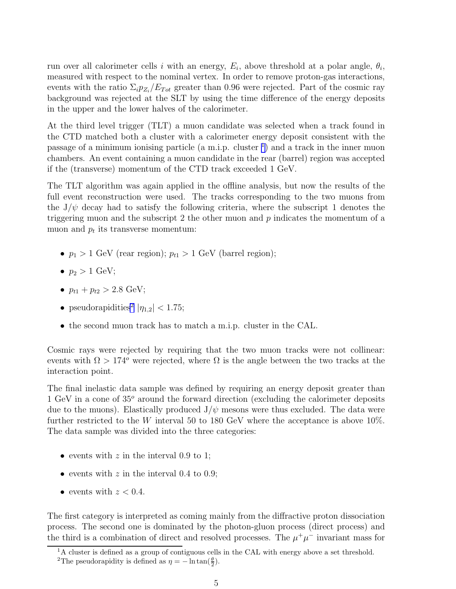run over all calorimeter cells i with an energy,  $E_i$ , above threshold at a polar angle,  $\theta_i$ , measured with respect to the nominal vertex. In order to remove proton-gas interactions, events with the ratio  $\Sigma_i p_{Z_i}/E_{Tot}$  greater than 0.96 were rejected. Part of the cosmic ray background was rejected at the SLT by using the time difference of the energy deposits in the upper and the lower halves of the calorimeter.

At the third level trigger (TLT) a muon candidate was selected when a track found in the CTD matched both a cluster with a calorimeter energy deposit consistent with the passage of a minimum ionising particle (a m.i.p. cluster  $\frac{1}{1}$ ) and a track in the inner muon chambers. An event containing a muon candidate in the rear (barrel) region was accepted if the (transverse) momentum of the CTD track exceeded 1 GeV.

The TLT algorithm was again applied in the offline analysis, but now the results of the full event reconstruction were used. The tracks corresponding to the two muons from the  $J/\psi$  decay had to satisfy the following criteria, where the subscript 1 denotes the triggering muon and the subscript 2 the other muon and  $p$  indicates the momentum of a muon and  $p_t$  its transverse momentum:

- $p_1 > 1$  GeV (rear region);  $p_{t1} > 1$  GeV (barrel region);
- $p_2 > 1$  GeV;
- $p_{t1} + p_{t2} > 2.8$  GeV;
- pseudorapidities<sup>2</sup>  $|\eta_{1,2}|$  < 1.75;
- the second muon track has to match a m.i.p. cluster in the CAL.

Cosmic rays were rejected by requiring that the two muon tracks were not collinear: events with  $\Omega > 174^{\circ}$  were rejected, where  $\Omega$  is the angle between the two tracks at the interaction point.

The final inelastic data sample was defined by requiring an energy deposit greater than 1 GeV in a cone of 35<sup>o</sup> around the forward direction (excluding the calorimeter deposits due to the muons). Elastically produced  $J/\psi$  mesons were thus excluded. The data were further restricted to the W interval 50 to 180 GeV where the acceptance is above 10%. The data sample was divided into the three categories:

- events with  $z$  in the interval 0.9 to 1;
- events with  $z$  in the interval 0.4 to 0.9;
- events with  $z < 0.4$ .

The first category is interpreted as coming mainly from the diffractive proton dissociation process. The second one is dominated by the photon-gluon process (direct process) and the third is a combination of direct and resolved processes. The  $\mu^+\mu^-$  invariant mass for

<sup>&</sup>lt;sup>1</sup>A cluster is defined as a group of contiguous cells in the CAL with energy above a set threshold.

<sup>&</sup>lt;sup>2</sup>The pseudorapidity is defined as  $\eta = -\ln \tan(\frac{\theta}{2})$ .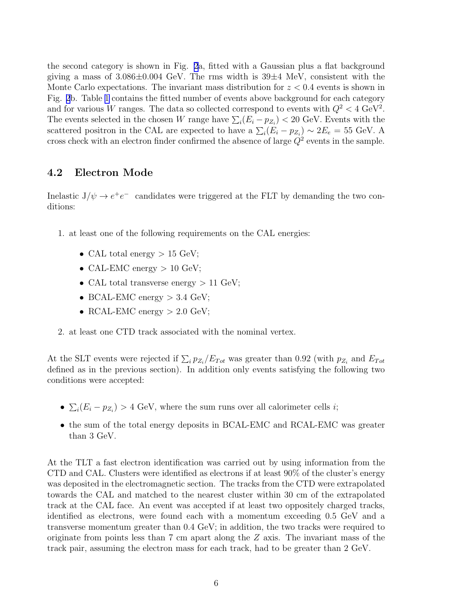the second category is shown in Fig. [2](#page-28-0)a, fitted with a Gaussian plus a flat background giving a mass of  $3.086\pm0.004$  GeV. The rms width is  $39\pm4$  MeV, consistent with the Monte Carlo expectations. The invariant mass distribution for  $z < 0.4$  events is shown in Fig. [2](#page-28-0)b. Table [1](#page-25-0) contains the fitted number of events above background for each category and for various W ranges. The data so collected correspond to events with  $Q^2 < 4 \text{ GeV}^2$ . The events selected in the chosen W range have  $\sum_i (E_i - p_{Z_i}) < 20$  GeV. Events with the scattered positron in the CAL are expected to have a  $\sum_i (E_i - p_{Z_i}) \sim 2E_e = 55$  GeV. A cross check with an electron finder confirmed the absence of large  $Q^2$  events in the sample.

### 4.2 Electron Mode

Inelastic  $J/\psi \rightarrow e^+e^-$  candidates were triggered at the FLT by demanding the two conditions:

- 1. at least one of the following requirements on the CAL energies:
	- CAL total energy  $> 15$  GeV;
	- CAL-EMC energy  $> 10$  GeV;
	- CAL total transverse energy  $> 11$  GeV;
	- BCAL-EMC energy  $> 3.4$  GeV;
	- RCAL-EMC energy  $> 2.0$  GeV;
- 2. at least one CTD track associated with the nominal vertex.

At the SLT events were rejected if  $\sum_i p_{Z_i}/E_{Tot}$  was greater than 0.92 (with  $p_{Z_i}$  and  $E_{Tot}$ defined as in the previous section). In addition only events satisfying the following two conditions were accepted:

- $\sum_i (E_i p_{Z_i}) > 4$  GeV, where the sum runs over all calorimeter cells *i*;
- the sum of the total energy deposits in BCAL-EMC and RCAL-EMC was greater than 3 GeV.

At the TLT a fast electron identification was carried out by using information from the CTD and CAL. Clusters were identified as electrons if at least 90% of the cluster's energy was deposited in the electromagnetic section. The tracks from the CTD were extrapolated towards the CAL and matched to the nearest cluster within 30 cm of the extrapolated track at the CAL face. An event was accepted if at least two oppositely charged tracks, identified as electrons, were found each with a momentum exceeding 0.5 GeV and a transverse momentum greater than 0.4 GeV; in addition, the two tracks were required to originate from points less than  $7 \text{ cm}$  apart along the  $Z$  axis. The invariant mass of the track pair, assuming the electron mass for each track, had to be greater than 2 GeV.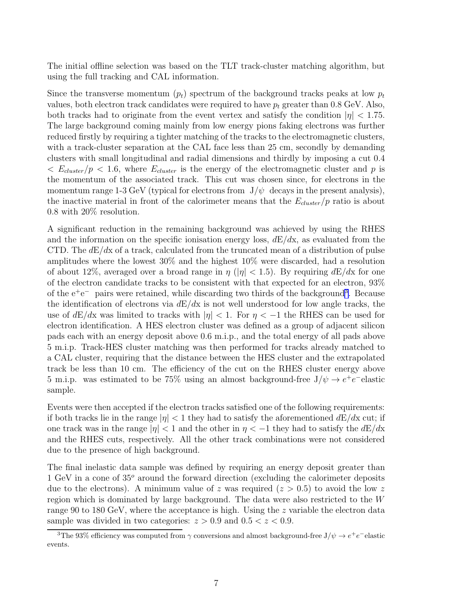The initial offline selection was based on the TLT track-cluster matching algorithm, but using the full tracking and CAL information.

Since the transverse momentum  $(p_t)$  spectrum of the background tracks peaks at low  $p_t$ values, both electron track candidates were required to have  $p_t$  greater than 0.8 GeV. Also, both tracks had to originate from the event vertex and satisfy the condition  $|\eta| < 1.75$ . The large background coming mainly from low energy pions faking electrons was further reduced firstly by requiring a tighter matching of the tracks to the electromagnetic clusters, with a track-cluster separation at the CAL face less than 25 cm, secondly by demanding clusters with small longitudinal and radial dimensions and thirdly by imposing a cut 0.4  $\langle E_{cluster}/p \langle 1.6 \rangle$  where  $E_{cluster}$  is the energy of the electromagnetic cluster and p is the momentum of the associated track. This cut was chosen since, for electrons in the momentum range 1-3 GeV (typical for electrons from  $J/\psi$  decays in the present analysis), the inactive material in front of the calorimeter means that the  $E_{cluster}/p$  ratio is about 0.8 with 20% resolution.

A significant reduction in the remaining background was achieved by using the RHES and the information on the specific ionisation energy loss,  $dE/dx$ , as evaluated from the CTD. The  $dE/dx$  of a track, calculated from the truncated mean of a distribution of pulse amplitudes where the lowest 30% and the highest 10% were discarded, had a resolution of about 12%, averaged over a broad range in  $\eta$  (| $\eta$ | < 1.5). By requiring  $dE/dx$  for one of the electron candidate tracks to be consistent with that expected for an electron, 93% of the  $e^+e^-$  pairs were retained, while discarding two thirds of the background<sup>3</sup>. Because the identification of electrons via  $dE/dx$  is not well understood for low angle tracks, the use of  $dE/dx$  was limited to tracks with  $|\eta| < 1$ . For  $\eta < -1$  the RHES can be used for electron identification. A HES electron cluster was defined as a group of adjacent silicon pads each with an energy deposit above 0.6 m.i.p., and the total energy of all pads above 5 m.i.p. Track-HES cluster matching was then performed for tracks already matched to a CAL cluster, requiring that the distance between the HES cluster and the extrapolated track be less than 10 cm. The efficiency of the cut on the RHES cluster energy above 5 m.i.p. was estimated to be 75% using an almost background-free  $J/\psi \rightarrow e^+e^-$ elastic sample.

Events were then accepted if the electron tracks satisfied one of the following requirements: if both tracks lie in the range  $|\eta| < 1$  they had to satisfy the aforementioned  $dE/dx$  cut; if one track was in the range  $|\eta| < 1$  and the other in  $\eta < -1$  they had to satisfy the  $dE/dx$ and the RHES cuts, respectively. All the other track combinations were not considered due to the presence of high background.

The final inelastic data sample was defined by requiring an energy deposit greater than 1 GeV in a cone of  $35^{\circ}$  around the forward direction (excluding the calorimeter deposits due to the electrons). A minimum value of z was required  $(z > 0.5)$  to avoid the low z region which is dominated by large background. The data were also restricted to the W range 90 to 180 GeV, where the acceptance is high. Using the z variable the electron data sample was divided in two categories:  $z > 0.9$  and  $0.5 < z < 0.9$ .

<sup>&</sup>lt;sup>3</sup>The 93% efficiency was computed from  $\gamma$  conversions and almost background-free  $J/\psi \to e^+e^-$ elastic events.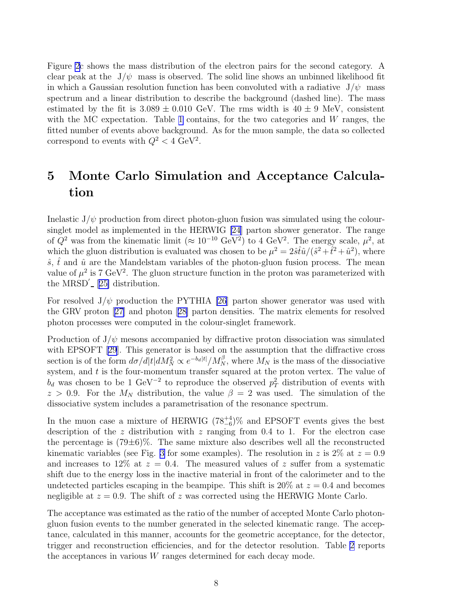<span id="page-16-0"></span>Figure [2](#page-28-0)c shows the mass distribution of the electron pairs for the second category. A clear peak at the  $J/\psi$  mass is observed. The solid line shows an unbinned likelihood fit in which a Gaussian resolution function has been convoluted with a radiative  $J/\psi$  mass spectrum and a linear distribution to describe the background (dashed line). The mass estimated by the fit is  $3.089 \pm 0.010$  GeV. The rms width is  $40 \pm 9$  MeV, consistent with the MC expectation. Table [1](#page-25-0) contains, for the two categories and  $W$  ranges, the fitted number of events above background. As for the muon sample, the data so collected correspond to events with  $Q^2 < 4 \text{ GeV}^2$ .

# 5 Monte Carlo Simulation and Acceptance Calculation

Inelastic  $J/\psi$  production from direct photon-gluon fusion was simulated using the coloursinglet model as implemented in the HERWIG [\[24](#page-23-0)] parton shower generator. The range of  $Q^2$  was from the kinematic limit ( $\approx 10^{-10} \text{ GeV}^2$ ) to 4 GeV<sup>2</sup>. The energy scale,  $\mu^2$ , at which the gluon distribution is evaluated was chosen to be  $\mu^2 = 2\hat{s}\hat{t}\hat{u}/(\hat{s}^2 + \hat{t}^2 + \hat{u}^2)$ , where  $\hat{s}$ ,  $\hat{t}$  and  $\hat{u}$  are the Mandelstam variables of the photon-gluon fusion process. The mean value of  $\mu^2$  is 7 GeV<sup>2</sup>. The gluon structure function in the proton was parameterized with the  $MRSD'$ <sub>-</sub> [[25\]](#page-23-0) distribution.

For resolved  $J/\psi$  production the PYTHIA [\[26](#page-23-0)] parton shower generator was used with the GRV proton[[27\]](#page-23-0) and photon[[28\]](#page-23-0) parton densities. The matrix elements for resolved photon processes were computed in the colour-singlet framework.

Production of  $J/\psi$  mesons accompanied by diffractive proton dissociation was simulated with EPSOFT [\[29\]](#page-23-0). This generator is based on the assumption that the diffractive cross section is of the form  $d\sigma/d|t|dM_N^2 \propto e^{-b_d|t|}/M_N^{\beta}$ , where  $M_N$  is the mass of the dissociative system, and  $t$  is the four-momentum transfer squared at the proton vertex. The value of  $b_d$  was chosen to be 1 GeV<sup>-2</sup> to reproduce the observed  $p_T^2$  distribution of events with  $z > 0.9$ . For the  $M_N$  distribution, the value  $\beta = 2$  was used. The simulation of the dissociative system includes a parametrisation of the resonance spectrum.

In the muon case a mixture of HERWIG  $(78^{+4}_{-6})\%$  and EPSOFT events gives the best description of the z distribution with z ranging from  $0.4$  to 1. For the electron case the percentage is  $(79\pm6)\%$ . The same mixture also describes well all the reconstructed kinematic variables (see Fig. [3](#page-29-0) for some examples). The resolution in z is  $2\%$  at  $z = 0.9$ and increases to 12\% at  $z = 0.4$ . The measured values of z suffer from a systematic shift due to the energy loss in the inactive material in front of the calorimeter and to the undetected particles escaping in the beampipe. This shift is  $20\%$  at  $z = 0.4$  and becomes negligible at  $z = 0.9$ . The shift of z was corrected using the HERWIG Monte Carlo.

The acceptance was estimated as the ratio of the number of accepted Monte Carlo photongluon fusion events to the number generated in the selected kinematic range. The acceptance, calculated in this manner, accounts for the geometric acceptance, for the detector, trigger and reconstruction efficiencies, and for the detector resolution. Table [2](#page-25-0) reports the acceptances in various W ranges determined for each decay mode.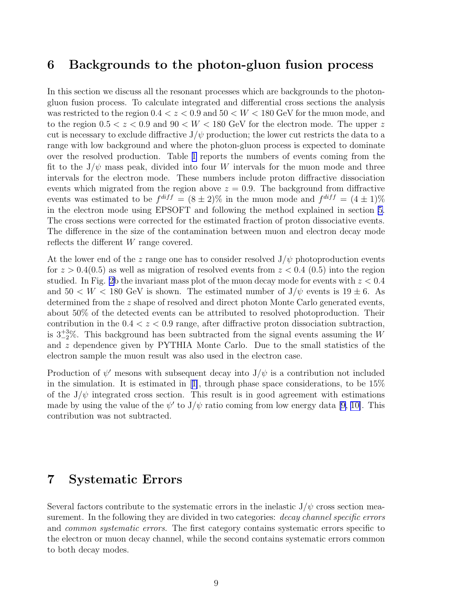### <span id="page-17-0"></span>6 Backgrounds to the photon-gluon fusion process

In this section we discuss all the resonant processes which are backgrounds to the photongluon fusion process. To calculate integrated and differential cross sections the analysis was restricted to the region  $0.4 < z < 0.9$  and  $50 < W < 180$  GeV for the muon mode, and to the region  $0.5 < z < 0.9$  and  $90 < W < 180$  GeV for the electron mode. The upper z cut is necessary to exclude diffractive  $J/\psi$  production; the lower cut restricts the data to a range with low background and where the photon-gluon process is expected to dominate over the resolved production. Table [1](#page-25-0) reports the numbers of events coming from the fit to the  $J/\psi$  mass peak, divided into four W intervals for the muon mode and three intervals for the electron mode. These numbers include proton diffractive dissociation events which migrated from the region above  $z = 0.9$ . The background from diffractive events was estimated to be  $f^{diff} = (8 \pm 2)\%$  in the muon mode and  $f^{diff} = (4 \pm 1)\%$ in the electron mode using EPSOFT and following the method explained in section [5.](#page-16-0) The cross sections were corrected for the estimated fraction of proton dissociative events. The difference in the size of the contamination between muon and electron decay mode reflects the different W range covered.

At the lower end of the z range one has to consider resolved  $J/\psi$  photoproduction events for  $z > 0.4(0.5)$  as well as migration of resolved events from  $z < 0.4(0.5)$  into the region studied. In Fig. [2b](#page-28-0) the invariant mass plot of the muon decay mode for events with  $z < 0.4$ and  $50 < W < 180$  GeV is shown. The estimated number of  $J/\psi$  events is  $19 \pm 6$ . As determined from the z shape of resolved and direct photon Monte Carlo generated events, about 50% of the detected events can be attributed to resolved photoproduction. Their contribution in the  $0.4 < z < 0.9$  range, after diffractive proton dissociation subtraction, is  $3\frac{+3}{2}\%$ . This background has been subtracted from the signal events assuming the W and z dependence given by PYTHIA Monte Carlo. Due to the small statistics of the electron sample the muon result was also used in the electron case.

Production of  $\psi'$  mesons with subsequent decay into  $J/\psi$  is a contribution not included inthe simulation. It is estimated in [[1\]](#page-22-0), through phase space considerations, to be  $15\%$ of the  $J/\psi$  integrated cross section. This result is in good agreement with estimations made by using the value of the  $\psi'$  to  $J/\psi$  ratio coming from low energy data [\[9](#page-22-0), [10\]](#page-22-0). This contribution was not subtracted.

# 7 Systematic Errors

Several factors contribute to the systematic errors in the inelastic  $J/\psi$  cross section measurement. In the following they are divided in two categories: *decay channel specific errors* and *common systematic errors*. The first category contains systematic errors specific to the electron or muon decay channel, while the second contains systematic errors common to both decay modes.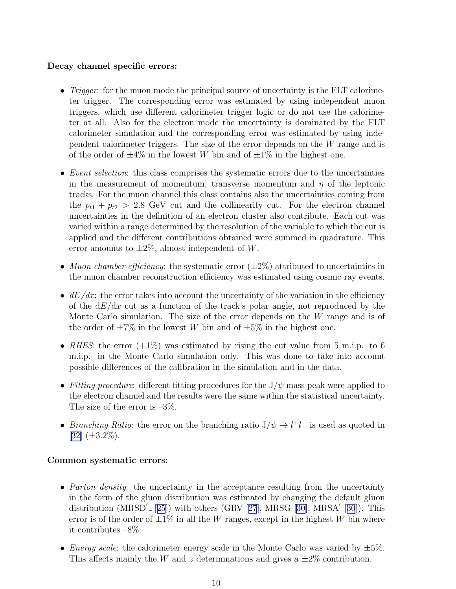### Decay channel specific errors:

- *Trigger*: for the muon mode the principal source of uncertainty is the FLT calorimeter trigger. The corresponding error was estimated by using independent muon triggers, which use different calorimeter trigger logic or do not use the calorimeter at all. Also for the electron mode the uncertainty is dominated by the FLT calorimeter simulation and the corresponding error was estimated by using independent calorimeter triggers. The size of the error depends on the W range and is of the order of  $\pm 4\%$  in the lowest W bin and of  $\pm 1\%$  in the highest one.
- Event selection: this class comprises the systematic errors due to the uncertainties in the measurement of momentum, transverse momentum and  $\eta$  of the leptonic tracks. For the muon channel this class contains also the uncertainties coming from the  $p_{t1} + p_{t2} > 2.8$  GeV cut and the collinearity cut. For the electron channel uncertainties in the definition of an electron cluster also contribute. Each cut was varied within a range determined by the resolution of the variable to which the cut is applied and the different contributions obtained were summed in quadrature. This error amounts to  $\pm 2\%$ , almost independent of W.
- Muon chamber efficiency: the systematic error  $(\pm 2\%)$  attributed to uncertainties in the muon chamber reconstruction efficiency was estimated using cosmic ray events.
- $dE/dx$ : the error takes into account the uncertainty of the variation in the efficiency of the  $dE/dx$  cut as a function of the track's polar angle, not reproduced by the Monte Carlo simulation. The size of the error depends on the  $W$  range and is of the order of  $\pm 7\%$  in the lowest W bin and of  $\pm 5\%$  in the highest one.
- RHES: the error  $(+1\%)$  was estimated by rising the cut value from 5 m.i.p. to 6 m.i.p. in the Monte Carlo simulation only. This was done to take into account possible differences of the calibration in the simulation and in the data.
- Fitting procedure: different fitting procedures for the  $J/\psi$  mass peak were applied to the electron channel and the results were the same within the statistical uncertainty. The size of the error is  $-3\%$ .
- Branching Ratio: the error on the branching ratio  $J/\psi \rightarrow l^+l^-$  is used as quoted in  $[32]$  $[32]$   $(\pm 3.2\%)$ .

#### Common systematic errors:

- Parton density: the uncertainty in the acceptance resulting from the uncertainty in the form of the gluon distribution was estimated by changing the default gluon distribution (MRSD<sup>'</sup> [[25](#page-23-0)])with others (GRV [[27](#page-23-0)], MRSG [\[30](#page-23-0)], MRSA<sup>'</sup> [[30](#page-23-0)]). This error is of the order of  $\pm 1\%$  in all the W ranges, except in the highest W bin where it contributes –8%.
- Energy scale: the calorimeter energy scale in the Monte Carlo was varied by  $\pm 5\%$ . This affects mainly the W and z determinations and gives a  $\pm 2\%$  contribution.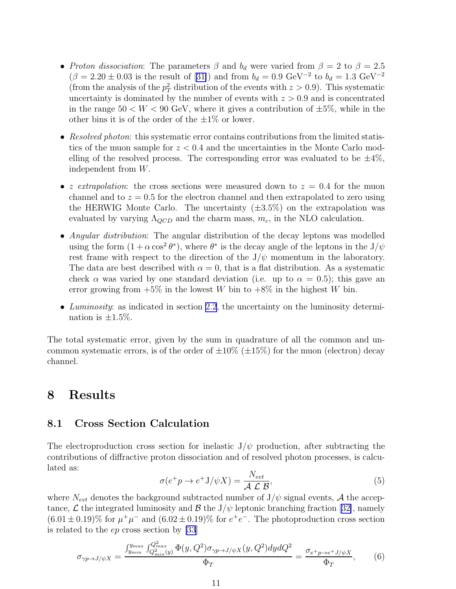- <span id="page-19-0"></span>• Proton dissociation: The parameters  $\beta$  and  $b_d$  were varied from  $\beta = 2$  to  $\beta = 2.5$  $(\beta = 2.20 \pm 0.03$  $(\beta = 2.20 \pm 0.03$  $(\beta = 2.20 \pm 0.03$  is the result of [[31\]](#page-23-0)) and from  $b_d = 0.9 \text{ GeV}^{-2}$  to  $b_d = 1.3 \text{ GeV}^{-2}$ (from the analysis of the  $p_T^2$  distribution of the events with  $z > 0.9$ ). This systematic uncertainty is dominated by the number of events with  $z > 0.9$  and is concentrated in the range  $50 < W < 90$  GeV, where it gives a contribution of  $\pm 5\%$ , while in the other bins it is of the order of the  $\pm 1\%$  or lower.
- Resolved photon: this systematic error contains contributions from the limited statistics of the muon sample for  $z < 0.4$  and the uncertainties in the Monte Carlo modelling of the resolved process. The corresponding error was evaluated to be  $\pm 4\%$ , independent from W.
- *z extrapolation*: the cross sections were measured down to  $z = 0.4$  for the muon channel and to  $z = 0.5$  for the electron channel and then extrapolated to zero using the HERWIG Monte Carlo. The uncertainty  $(\pm 3.5\%)$  on the extrapolation was evaluated by varying  $\Lambda_{QCD}$  and the charm mass,  $m_c$ , in the NLO calculation.
- Angular distribution: The angular distribution of the decay leptons was modelled using the form  $(1 + \alpha \cos^2 \theta^*)$ , where  $\theta^*$  is the decay angle of the leptons in the  $J/\psi$ rest frame with respect to the direction of the  $J/\psi$  momentum in the laboratory. The data are best described with  $\alpha = 0$ , that is a flat distribution. As a systematic check  $\alpha$  was varied by one standard deviation (i.e. up to  $\alpha = 0.5$ ); this gave an error growing from  $+5\%$  in the lowest W bin to  $+8\%$  in the highest W bin.
- Luminosity: as indicated in section [2.2](#page-10-0), the uncertainty on the luminosity determination is  $\pm 1.5\%$ .

The total systematic error, given by the sum in quadrature of all the common and uncommon systematic errors, is of the order of  $\pm 10\%$  ( $\pm 15\%$ ) for the muon (electron) decay channel.

### 8 Results

### 8.1 Cross Section Calculation

The electroproduction cross section for inelastic  $J/\psi$  production, after subtracting the contributions of diffractive proton dissociation and of resolved photon processes, is calculated as:

$$
\sigma(e^+p \to e^+J/\psi X) = \frac{N_{evt}}{\mathcal{A} \mathcal{L} \mathcal{B}},\tag{5}
$$

where  $N_{evt}$  denotes the background subtracted number of  $J/\psi$  signal events, A the accep-tance, $\mathcal L$  the integrated luminosity and  $\mathcal B$  the J/ $\psi$  leptonic branching fraction [[32\]](#page-23-0), namely  $(6.01 \pm 0.19)\%$  for  $\mu^+\mu^-$  and  $(6.02 \pm 0.19)\%$  for  $e^+e^-$ . The photoproduction cross section is related to the ep cross section by [\[33](#page-24-0)]

$$
\sigma_{\gamma p \to J/\psi X} = \frac{\int_{y_{min}}^{y_{max}} \int_{Q_{min}^2(y)}^{Q_{max}^2(y)} \Phi(y, Q^2) \sigma_{\gamma p \to J/\psi X}(y, Q^2) dy dQ^2}{\Phi_T} = \frac{\sigma_{e^+ p \to e^+ J/\psi X}}{\Phi_T}, \qquad (6)
$$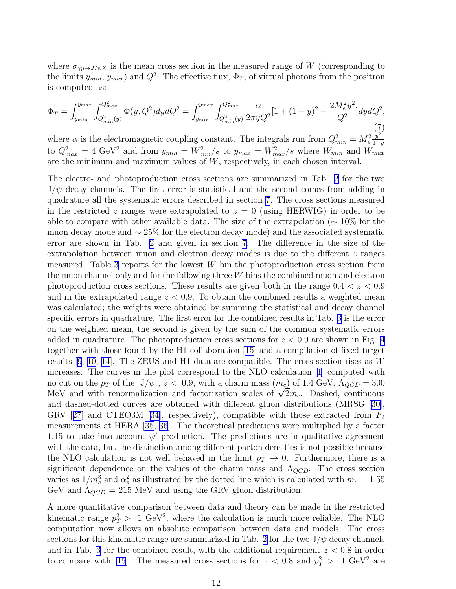where  $\sigma_{\gamma p \to J/\psi X}$  is the mean cross section in the measured range of W (corresponding to the limits  $y_{min}$ ,  $y_{max}$ ) and  $Q^2$ . The effective flux,  $\Phi_T$ , of virtual photons from the positron is computed as:

$$
\Phi_T = \int_{y_{min}}^{y_{max}} \int_{Q_{min}^2(y)}^{Q_{max}^2} \Phi(y, Q^2) dy dQ^2 = \int_{y_{min}}^{y_{max}} \int_{Q_{min}^2(y)}^{Q_{max}^2} \frac{\alpha}{2\pi y Q^2} [1 + (1 - y)^2 - \frac{2M_e^2 y^2}{Q^2}] dy dQ^2,
$$
\n<sup>(7)</sup>

where  $\alpha$  is the electromagnetic coupling constant. The integrals run from  $Q_{min}^2 = M_e^2$  $y^2$ to  $Q_{max}^2 = 4 \text{ GeV}^2$  and from  $y_{min} = W_{min}^2/s$  to  $y_{max} = W_{max}^2/s$  where  $W_{min}$  and  $W_{max}$ are the minimum and maximum values of W, respectively, in each chosen interval.

The electro- and photoproduction cross sections are summarized in Tab. [2](#page-25-0) for the two  $J/\psi$  decay channels. The first error is statistical and the second comes from adding in quadrature all the systematic errors described in section [7.](#page-17-0) The cross sections measured in the restricted z ranges were extrapolated to  $z = 0$  (using HERWIG) in order to be able to compare with other available data. The size of the extrapolation ( $\sim 10\%$  for the muon decay mode and ∼ 25% for the electron decay mode) and the associated systematic error are shown in Tab. [2](#page-25-0) and given in section [7](#page-17-0). The difference in the size of the extrapolation between muon and electron decay modes is due to the different  $z$  ranges measured. Table [3](#page-26-0) reports for the lowest  $W$  bin the photoproduction cross section from the muon channel only and for the following three W bins the combined muon and electron photoproduction cross sections. These results are given both in the range  $0.4 < z < 0.9$ and in the extrapolated range  $z < 0.9$ . To obtain the combined results a weighted mean was calculated; the weights were obtained by summing the statistical and decay channel specific errors in quadrature. The first error for the combined results in Tab. [3](#page-26-0) is the error on the weighted mean, the second is given by the sum of the common systematic errors added in quadrature. The photoproduction cross sections for  $z < 0.9$  are shown in Fig. [4](#page-30-0) together with those found by the H1 collaboration [\[15\]](#page-23-0) and a compilation of fixed target results [\[9, 10,](#page-22-0) [14\]](#page-23-0). The ZEUS and H1 data are compatible. The cross section rises as  $W$ increases. The curves in the plot correspond to the NLO calculation [\[1](#page-22-0)] computed with no cut on the  $p_T$  of the  $J/\psi$ ,  $z < 0.9$ , with a charm mass  $(m_c)$  of 1.4 GeV,  $\Lambda_{QCD} = 300$ MeV and with renormalization and factorization scales of  $\sqrt{2}m_c$ . Dashed, continuous and dashed-dotted curves are obtained with different gluon distributions (MRSG[[30\]](#page-23-0), GRV[[27](#page-23-0)] and CTEQ3M [[34\]](#page-24-0), respectively), compatible with those extracted from  $F_2$ measurements at HERA[[35, 36](#page-24-0)]. The theoretical predictions were multiplied by a factor 1.15 to take into account  $\psi'$  production. The predictions are in qualitative agreement with the data, but the distinction among different parton densities is not possible because the NLO calculation is not well behaved in the limit  $p_T \to 0$ . Furthermore, there is a significant dependence on the values of the charm mass and  $\Lambda_{QCD}$ . The cross section varies as  $1/m_c^3$  and  $\alpha_s^2$  as illustrated by the dotted line which is calculated with  $m_c = 1.55$ GeV and  $\Lambda_{QCD} = 215 \text{ MeV}$  and using the GRV gluon distribution.

A more quantitative comparison between data and theory can be made in the restricted kinematic range  $p_T^2 > 1$  GeV<sup>2</sup>, where the calculation is much more reliable. The NLO computation now allows an absolute comparison between data and models. The cross sections for this kinematic range are summarized in Tab. [2](#page-25-0) for the two  $J/\psi$  decay channels and in Tab. [3](#page-26-0) for the combined result, with the additional requirement  $z < 0.8$  in order to compare with [\[15\]](#page-23-0). The measured cross sections for  $z < 0.8$  and  $p_T^2 > 1 \text{ GeV}^2$  are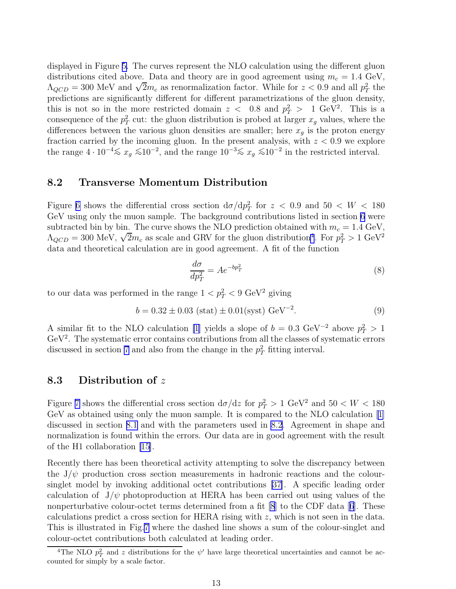displayed in Figure [5.](#page-31-0) The curves represent the NLO calculation using the different gluon distributions cited above. Data and theory are in good agreement using  $m_c = 1.4 \text{ GeV}$ ,  $\Lambda_{QCD} = 300$  MeV and  $\sqrt{2}m_c$  as renormalization factor. While for  $z < 0.9$  and all  $p_T^2$  the predictions are significantly different for different parametrizations of the gluon density, this is not so in the more restricted domain  $z < 0.8$  and  $p_T^2 > 1 \text{ GeV}^2$ . This is a consequence of the  $p_T^2$  cut: the gluon distribution is probed at larger  $x_g$  values, where the differences between the various gluon densities are smaller; here  $x<sub>g</sub>$  is the proton energy fraction carried by the incoming gluon. In the present analysis, with  $z < 0.9$  we explore the range  $4 \cdot 10^{-4} \le x_g \le 10^{-2}$ , and the range  $10^{-3} \le x_g \le 10^{-2}$  in the restricted interval.

#### 8.2 Transverse Momentum Distribution

Figure [6](#page-32-0) shows the differential cross section  $d\sigma/dp_T^2$  for  $z \, < \, 0.9$  and  $50 \, < \, W \, < \, 180$ GeV using only the muon sample. The background contributions listed in section [6](#page-17-0) were subtracted bin by bin. The curve shows the NLO prediction obtained with  $m_c = 1.4 \text{ GeV}$ ,  $\Lambda_{QCD} = 300 \text{ MeV}, \sqrt{2}m_c$  as scale and GRV for the gluon distribution<sup>4</sup>. For  $p_T^2 > 1 \text{ GeV}^2$ data and theoretical calculation are in good agreement. A fit of the function

$$
\frac{d\sigma}{dp_T^2} = Ae^{-bp_T^2} \tag{8}
$$

to our data was performed in the range  $1 < p_T^2 < 9 \text{ GeV}^2$  giving

$$
b = 0.32 \pm 0.03 \text{ (stat)} \pm 0.01 \text{(syst)} \text{ GeV}^{-2}. \tag{9}
$$

A similar fit to the NLO calculation [\[1](#page-22-0)] yields a slope of  $b = 0.3 \text{ GeV}^{-2}$  above  $p_T^2 > 1$  $GeV<sup>2</sup>$ . The systematic error contains contributions from all the classes of systematic errors discussed in section [7](#page-17-0) and also from the change in the  $p_T^2$  fitting interval.

### 8.3 Distribution of z

Figure [7](#page-33-0) shows the differential cross section  $d\sigma/dz$  for  $p_T^2 > 1$  GeV<sup>2</sup> and  $50 < W < 180$ GeV as obtained using only the muon sample. It is compared to the NLO calculation[[1\]](#page-22-0) discussed in section [8.1](#page-19-0) and with the parameters used in 8.2. Agreement in shape and normalization is found within the errors. Our data are in good agreement with the result of the H1 collaboration [\[15\]](#page-23-0).

Recently there has been theoretical activity attempting to solve the discrepancy between the  $J/\psi$  production cross section measurements in hadronic reactions and the coloursinglet model by invoking additional octet contributions [\[37\]](#page-24-0). A specific leading order calculation of  $J/\psi$  photoproduction at HERA has been carried out using values of the nonperturbativecolour-octet terms determined from a fit  $[8]$  to the CDF data  $[6]$  $[6]$  $[6]$ . These calculations predict a cross section for HERA rising with z, which is not seen in the data. This is illustrated in Fig.[7](#page-33-0) where the dashed line shows a sum of the colour-singlet and colour-octet contributions both calculated at leading order.

<sup>&</sup>lt;sup>4</sup>The NLO  $p_T^2$  and z distributions for the  $\psi'$  have large theoretical uncertainties and cannot be accounted for simply by a scale factor.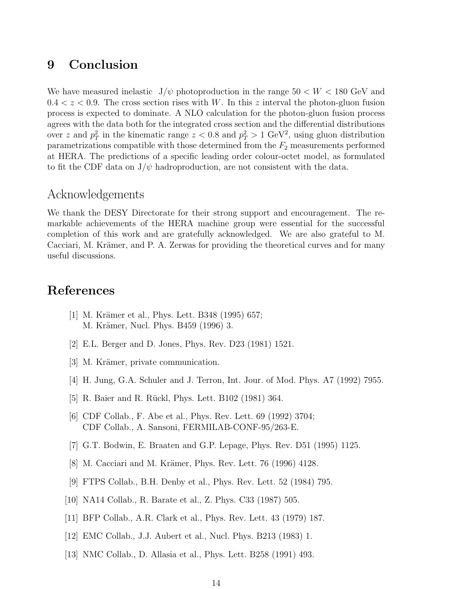## <span id="page-22-0"></span>9 Conclusion

We have measured inelastic  $J/\psi$  photoproduction in the range  $50 < W < 180$  GeV and  $0.4 < z < 0.9$ . The cross section rises with W. In this z interval the photon-gluon fusion process is expected to dominate. A NLO calculation for the photon-gluon fusion process agrees with the data both for the integrated cross section and the differential distributions over z and  $p_T^2$  in the kinematic range  $z < 0.8$  and  $p_T^2 > 1$  GeV<sup>2</sup>, using gluon distribution parametrizations compatible with those determined from the  $F_2$  measurements performed at HERA. The predictions of a specific leading order colour-octet model, as formulated to fit the CDF data on  $J/\psi$  hadroproduction, are not consistent with the data.

### Acknowledgements

We thank the DESY Directorate for their strong support and encouragement. The remarkable achievements of the HERA machine group were essential for the successful completion of this work and are gratefully acknowledged. We are also grateful to M. Cacciari, M. Krämer, and P. A. Zerwas for providing the theoretical curves and for many useful discussions.

### References

- [1] M. Krämer et al., Phys. Lett. B348 (1995) 657; M. Krämer, Nucl. Phys. B459 (1996) 3.
- [2] E.L. Berger and D. Jones, Phys. Rev. D23 (1981) 1521.
- [3] M. Krämer, private communication.
- [4] H. Jung, G.A. Schuler and J. Terron, Int. Jour. of Mod. Phys. A7 (1992) 7955.
- [5] R. Baier and R. Rückl, Phys. Lett. B102 (1981) 364.
- [6] CDF Collab., F. Abe et al., Phys. Rev. Lett. 69 (1992) 3704; CDF Collab., A. Sansoni, FERMILAB-CONF-95/263-E.
- [7] G.T. Bodwin, E. Braaten and G.P. Lepage, Phys. Rev. D51 (1995) 1125.
- [8] M. Cacciari and M. Krämer, Phys. Rev. Lett. 76 (1996) 4128.
- [9] FTPS Collab., B.H. Denby et al., Phys. Rev. Lett. 52 (1984) 795.
- [10] NA14 Collab., R. Barate et al., Z. Phys. C33 (1987) 505.
- [11] BFP Collab., A.R. Clark et al., Phys. Rev. Lett. 43 (1979) 187.
- [12] EMC Collab., J.J. Aubert et al., Nucl. Phys. B213 (1983) 1.
- [13] NMC Collab., D. Allasia et al., Phys. Lett. B258 (1991) 493.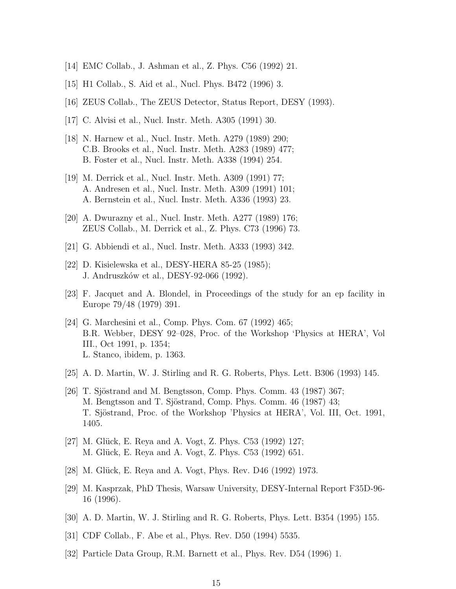- <span id="page-23-0"></span>[14] EMC Collab., J. Ashman et al., Z. Phys. C56 (1992) 21.
- [15] H1 Collab., S. Aid et al., Nucl. Phys. B472 (1996) 3.
- [16] ZEUS Collab., The ZEUS Detector, Status Report, DESY (1993).
- [17] C. Alvisi et al., Nucl. Instr. Meth. A305 (1991) 30.
- [18] N. Harnew et al., Nucl. Instr. Meth. A279 (1989) 290; C.B. Brooks et al., Nucl. Instr. Meth. A283 (1989) 477; B. Foster et al., Nucl. Instr. Meth. A338 (1994) 254.
- [19] M. Derrick et al., Nucl. Instr. Meth. A309 (1991) 77; A. Andresen et al., Nucl. Instr. Meth. A309 (1991) 101; A. Bernstein et al., Nucl. Instr. Meth. A336 (1993) 23.
- [20] A. Dwurazny et al., Nucl. Instr. Meth. A277 (1989) 176; ZEUS Collab., M. Derrick et al., Z. Phys. C73 (1996) 73.
- [21] G. Abbiendi et al., Nucl. Instr. Meth. A333 (1993) 342.
- [22] D. Kisielewska et al., DESY-HERA 85-25 (1985); J. Andruszk´ow et al., DESY-92-066 (1992).
- [23] F. Jacquet and A. Blondel, in Proceedings of the study for an ep facility in Europe 79/48 (1979) 391.
- [24] G. Marchesini et al., Comp. Phys. Com. 67 (1992) 465; B.R. Webber, DESY 92–028, Proc. of the Workshop 'Physics at HERA', Vol III., Oct 1991, p. 1354; L. Stanco, ibidem, p. 1363.
- [25] A. D. Martin, W. J. Stirling and R. G. Roberts, Phys. Lett. B306 (1993) 145.
- [26] T. Sjöstrand and M. Bengtsson, Comp. Phys. Comm.  $43$  (1987) 367; M. Bengtsson and T. Sjöstrand, Comp. Phys. Comm. 46 (1987) 43; T. Sjöstrand, Proc. of the Workshop 'Physics at HERA', Vol. III, Oct. 1991, 1405.
- [27] M. Glück, E. Reya and A. Vogt, Z. Phys. C53 (1992) 127; M. Glück, E. Reya and A. Vogt, Z. Phys. C53 (1992) 651.
- [28] M. Glück, E. Reya and A. Vogt, Phys. Rev. D46 (1992) 1973.
- [29] M. Kasprzak, PhD Thesis, Warsaw University, DESY-Internal Report F35D-96- 16 (1996).
- [30] A. D. Martin, W. J. Stirling and R. G. Roberts, Phys. Lett. B354 (1995) 155.
- [31] CDF Collab., F. Abe et al., Phys. Rev. D50 (1994) 5535.
- [32] Particle Data Group, R.M. Barnett et al., Phys. Rev. D54 (1996) 1.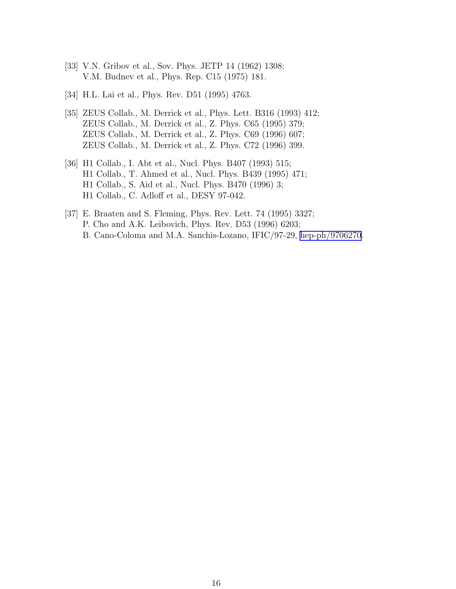- <span id="page-24-0"></span>[33] V.N. Gribov et al., Sov. Phys. JETP 14 (1962) 1308; V.M. Budnev et al., Phys. Rep. C15 (1975) 181.
- [34] H.L. Lai et al., Phys. Rev. D51 (1995) 4763.
- [35] ZEUS Collab., M. Derrick et al., Phys. Lett. B316 (1993) 412; ZEUS Collab., M. Derrick et al., Z. Phys. C65 (1995) 379; ZEUS Collab., M. Derrick et al., Z. Phys. C69 (1996) 607; ZEUS Collab., M. Derrick et al., Z. Phys. C72 (1996) 399.
- [36] H1 Collab., I. Abt et al., Nucl. Phys. B407 (1993) 515; H1 Collab., T. Ahmed et al., Nucl. Phys. B439 (1995) 471; H1 Collab., S. Aid et al., Nucl. Phys. B470 (1996) 3; H1 Collab., C. Adloff et al., DESY 97-042.
- [37] E. Braaten and S. Fleming, Phys. Rev. Lett. 74 (1995) 3327; P. Cho and A.K. Leibovich, Phys. Rev. D53 (1996) 6203; B. Cano-Coloma and M.A. Sanchis-Lozano, IFIC/97-29, [hep-ph/9706270](http://arxiv.org/abs/hep-ph/9706270).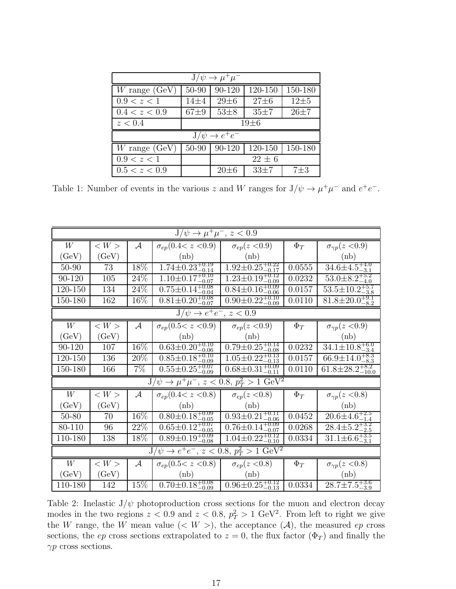<span id="page-25-0"></span>

| $J/\psi \rightarrow \mu^+\mu^-$ |           |            |            |          |  |  |  |
|---------------------------------|-----------|------------|------------|----------|--|--|--|
| W range $(GeV)$                 | 50-90     | 90-120     | 120-150    | 150-180  |  |  |  |
| 0.9 < z < 1                     | $14\pm4$  | $29 \pm 6$ | $27 \pm 6$ | $12\pm5$ |  |  |  |
| 0.4 < z < 0.9                   | $67+9$    | $53\pm8$   | $35 + 7$   | $26 + 7$ |  |  |  |
| z < 0.4                         | $19\pm 6$ |            |            |          |  |  |  |
| $J/\psi \rightarrow e^+e^-$     |           |            |            |          |  |  |  |
| $W$ range (GeV)                 | 50-90     | 90-120     | 120-150    | 150-180  |  |  |  |
| 0.9 < z < 1                     |           | $22 \pm 6$ |            |          |  |  |  |
| 0.5 < z < 0.9                   |           | $20 \pm 6$ | $33 + 7$   | $7\pm3$  |  |  |  |

Table 1: Number of events in the various z and W ranges for  $J/\psi \to \mu^+\mu^-$  and  $e^+e^-$ .

| $J/\psi \rightarrow \mu^+\mu^-, z < 0.9$                         |                     |               |                                 |                                 |          |                                |
|------------------------------------------------------------------|---------------------|---------------|---------------------------------|---------------------------------|----------|--------------------------------|
| W                                                                | $<$ $W$ $>$         | $\mathcal{A}$ | $\sigma_{ep}(0.4 < z < 0.9)$    | $\sigma_{ep}(z<0.9)$            | $\Phi_T$ | $\sigma_{\gamma p}(z<0.9)$     |
| (GeV)                                                            | (GeV)               |               | (nb)                            | (hb)                            |          | (hb)                           |
| 50-90                                                            | 73                  | 18%           | $1.74 \pm 0.23_{-0.14}^{+0.19}$ | $1.92 \pm 0.25_{-0.17}^{+0.22}$ | 0.0555   | $34.6 \pm 4.5_{-3.1}^{+4.0}$   |
| 90-120                                                           | 105                 | 24%           | $1.10 \pm 0.17_{-0.07}^{+0.10}$ | $1.23 \pm 0.19_{-0.09}^{+0.12}$ | 0.0232   | $53.0 \pm 8.2^{+5.2}_{-4.0}$   |
| 120-150                                                          | 134                 | 24\%          | $0.75 \pm 0.14^{+0.08}_{-0.04}$ | $0.84 \pm 0.16_{-0.06}^{+0.09}$ | 0.0157   | $53.5 \pm 10.2_{-3.8}^{+5.7}$  |
| 150-180                                                          | 162                 | 16\%          | $0.81 \pm 0.20^{+0.08}_{-0.07}$ | $0.90 \pm 0.22^{+0.10}_{-0.09}$ | 0.0110   | $81.8 \pm 20.0^{+9.1}_{-8.2}$  |
| $J/\psi \to e^+e^-$ , $z < 0.9$                                  |                     |               |                                 |                                 |          |                                |
| W                                                                | $\langle W \rangle$ | $\mathcal{A}$ | $\sigma_{ep}(0.5 < z < 0.9)$    | $\sigma_{ep}(z<0.9)$            | $\Phi_T$ | $\sigma_{\gamma p}(z<0.9)$     |
| (GeV)                                                            | (GeV)               |               | (nb)                            | (nb)                            |          | (nb)                           |
| 90-120                                                           | 107                 | 16\%          | $0.63 \pm 0.20^{+0.10}_{-0.06}$ | $0.79 \pm 0.25_{-0.08}^{+0.14}$ | 0.0232   | $34.1 \pm 10.8_{-3.4}^{+6.0}$  |
| 120-150                                                          | 136                 | 20%           | $0.85 \pm 0.18_{-0.09}^{+0.10}$ | $1.05 \pm 0.22^{+0.13}_{-0.13}$ | 0.0157   | $66.9 \pm 14.0^{+8.3}_{-8.3}$  |
| 150-180                                                          | 166                 | $7\%$         | $0.55 \pm 0.25^{+0.07}_{-0.09}$ | $0.68 \pm 0.31_{-0.11}^{+0.09}$ | 0.0110   | $61.8 \pm 28.2^{+8.2}_{-10.0}$ |
| $J/\psi \to \mu^+ \mu^-$ , $z < 0.8$ , $p_T^2 > 1 \text{ GeV}^2$ |                     |               |                                 |                                 |          |                                |
| W                                                                | $<$ $W$ $>$         | $\mathcal{A}$ | $\sigma_{ep}(0.4< z < 0.8)$     | $\sigma_{ep}(z<0.8)$            | $\Phi_T$ | $\sigma_{\gamma p}(z<0.8)$     |
| (GeV)                                                            | (GeV)               |               | (nb)                            | (nb)                            |          | (hb)                           |
| $50 - 80$                                                        | 70                  | 16\%          | $0.80 \pm 0.18^{+0.09}_{-0.05}$ | $0.93 \pm 0.21_{-0.06}^{+0.11}$ | 0.0452   | $20.6 \pm 4.6^{+2.5}_{-1.4}$   |
| 80-110                                                           | 96                  | 22%           | $0.65 \pm 0.12^{+0.07}_{-0.05}$ | $0.76 \pm 0.14^{+0.09}_{-0.07}$ | 0.0268   | $28.4 \pm 5.2_{-2.5}^{+3.2}$   |
| 110-180                                                          | 138                 | 18\%          | $0.89 \pm 0.19_{-0.08}^{+0.09}$ | $1.04 \pm 0.22^{+0.12}_{-0.10}$ | 0.0334   | $31.1 \pm 6.6_{-3.1}^{+3.5}$   |
| $J/\psi \to e^+e^-, z < 0.8, p_T^2 > 1 \text{ GeV}^2$            |                     |               |                                 |                                 |          |                                |
| W                                                                | $<$ $W$ $>$         | $\mathcal{A}$ | $\sigma_{ep}(0.5 < z < 0.8)$    | $\sigma_{ep}(z<0.8)$            | $\Phi_T$ | $\sigma_{\gamma p}(z<0.8)$     |
| (GeV)                                                            | (GeV)               |               | (hb)                            | (hb)                            |          | (hb)                           |
| 110-180                                                          | 142                 | 15%           | $0.70 \pm 0.18^{+0.08}_{-0.09}$ | $0.96 \pm 0.25_{-0.13}^{+0.12}$ | 0.0334   | $28.7 \pm 7.5_{-3.9}^{+3.6}$   |

Table 2: Inelastic  $J/\psi$  photoproduction cross sections for the muon and electron decay modes in the two regions  $z < 0.9$  and  $z < 0.8$ ,  $p_T^2 > 1$  GeV<sup>2</sup>. From left to right we give the W range, the W mean value  $( $W>$ ), the acceptance  $(A)$ , the measured ep cross$ sections, the ep cross sections extrapolated to  $z = 0$ , the flux factor  $(\Phi_T)$  and finally the  $\gamma p$  cross sections.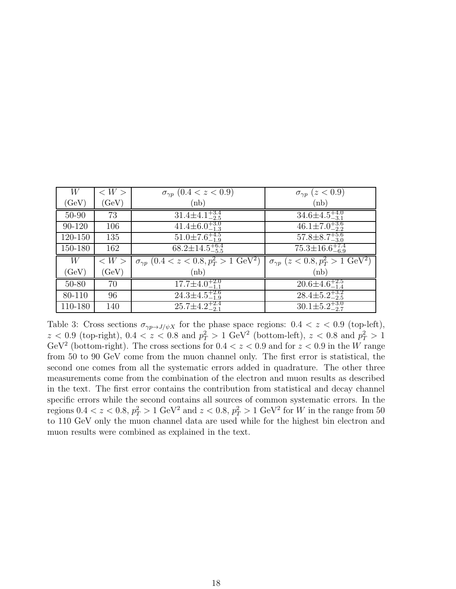<span id="page-26-0"></span>

| W         | $\langle W \rangle$          | $\sigma_{\gamma p}$ (0.4 < z < 0.9)                            | $\sigma_{\gamma p}$ (z < 0.9)                                |
|-----------|------------------------------|----------------------------------------------------------------|--------------------------------------------------------------|
| (GeV)     | $\left( \mathrm{GeV}\right)$ | (hb)                                                           | (nb)                                                         |
| 50-90     | 73                           | $31.4 \pm 4.1_{-2.5}^{+3.4}$                                   | $34.6 \pm 4.5_{-3.1}^{+4.0}$                                 |
| 90-120    | 106                          | $41.4\pm 6.0^{+3.0}_{-1.3}$                                    | $46.1 \pm 7.0^{+3.6}_{-2.2}$                                 |
| 120-150   | 135                          | $51.0 \pm 7.6_{-1.9}^{+4.5}$                                   | $\overline{57.8\pm}8.7^{+5.6}_{-3.0}$                        |
| 150-180   | 162                          | $68.2 \pm 14.5_{-5.5}^{+6.4}$                                  | $75.3 \pm 16.6^{+7.4}_{-6.9}$                                |
| W         | $\langle W \rangle$          | $\sigma_{\gamma p}$ $(0.4 < z < 0.8, p_T^2 > 1 \text{ GeV}^2)$ | $\sigma_{\gamma p}$ (z < 0.8, $p_T^2 > 1$ GeV <sup>2</sup> ) |
| (GeV)     | (GeV)                        | (hb)                                                           | (nb)                                                         |
| $50 - 80$ | 70                           | $17.7 \pm 4.0^{+2.0}_{-1.1}$                                   | $20.6 \pm 4.6^{+2.5}_{-1.4}$                                 |
| 80-110    | 96                           | $24.3 \pm 4.5_{-1.9}^{+2.6}$                                   | $28.4 \pm 5.2_{-2.5}^{+3.2}$                                 |
| 110-180   | 140                          | $25.7 \pm 4.2_{-2.1}^{+2.4}$                                   | $30.1 \pm 5.2_{-2.7}^{+3.0}$                                 |

Table 3: Cross sections  $\sigma_{\gamma p \to J/\psi X}$  for the phase space regions:  $0.4 < z < 0.9$  (top-left),  $z < 0.9$  (top-right),  $0.4 < z < 0.8$  and  $p_T^2 > 1$  GeV<sup>2</sup> (bottom-left),  $z < 0.8$  and  $p_T^2 > 1$ GeV<sup>2</sup> (bottom-right). The cross sections for  $0.4 < z < 0.9$  and for  $z < 0.9$  in the W range from 50 to 90 GeV come from the muon channel only. The first error is statistical, the second one comes from all the systematic errors added in quadrature. The other three measurements come from the combination of the electron and muon results as described in the text. The first error contains the contribution from statistical and decay channel specific errors while the second contains all sources of common systematic errors. In the regions  $0.4 < z < 0.8$ ,  $p_T^2 > 1 \text{ GeV}^2$  and  $z < 0.8$ ,  $p_T^2 > 1 \text{ GeV}^2$  for W in the range from 50 to 110 GeV only the muon channel data are used while for the highest bin electron and muon results were combined as explained in the text.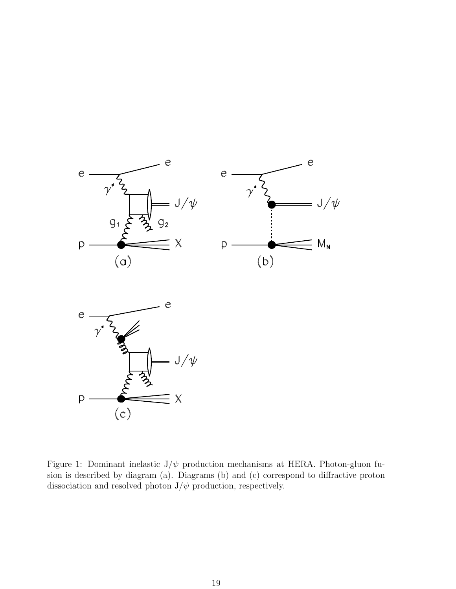<span id="page-27-0"></span>

Figure 1: Dominant inelastic  $J/\psi$  production mechanisms at HERA. Photon-gluon fusion is described by diagram (a). Diagrams (b) and (c) correspond to diffractive proton dissociation and resolved photon  $J/\psi$  production, respectively.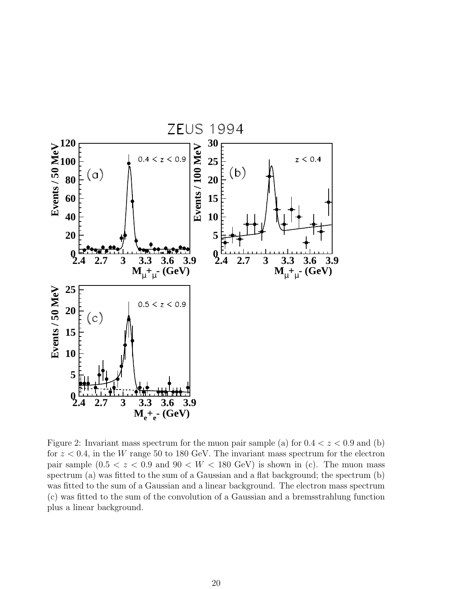<span id="page-28-0"></span>

Figure 2: Invariant mass spectrum for the muon pair sample (a) for  $0.4 < z < 0.9$  and (b) for  $z < 0.4$ , in the W range 50 to 180 GeV. The invariant mass spectrum for the electron pair sample  $(0.5 < z < 0.9$  and  $90 < W < 180$  GeV) is shown in (c). The muon mass spectrum (a) was fitted to the sum of a Gaussian and a flat background; the spectrum (b) was fitted to the sum of a Gaussian and a linear background. The electron mass spectrum (c) was fitted to the sum of the convolution of a Gaussian and a bremsstrahlung function plus a linear background.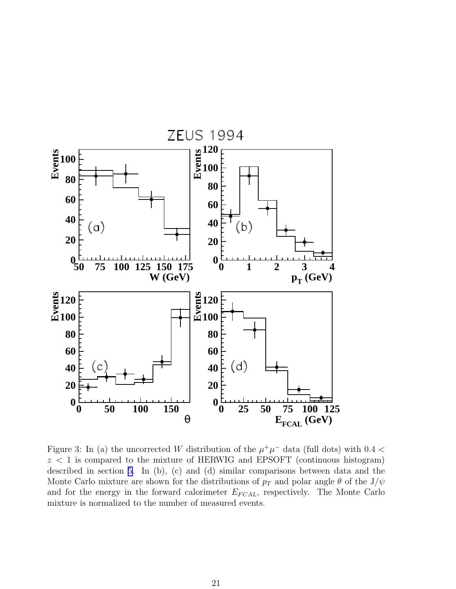<span id="page-29-0"></span>

Figure 3: In (a) the uncorrected W distribution of the  $\mu^+\mu^-$  data (full dots) with 0.4 <  $z < 1$  is compared to the mixture of HERWIG and EPSOFT (continuous histogram) described in section [5.](#page-16-0) In (b), (c) and (d) similar comparisons between data and the Monte Carlo mixture are shown for the distributions of  $p_T$  and polar angle  $\theta$  of the J/ $\psi$ and for the energy in the forward calorimeter  $E_{FCAL}$ , respectively. The Monte Carlo mixture is normalized to the number of measured events.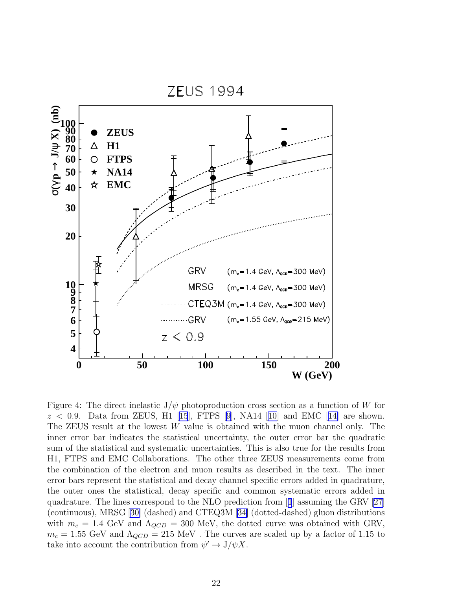<span id="page-30-0"></span>

Figure 4: The direct inelastic  $J/\psi$  photoproduction cross section as a function of W for  $z < 0.9$  $z < 0.9$  $z < 0.9$ . Data from ZEUS, H1 [[15](#page-23-0)], FTPS [\[9\]](#page-22-0), NA14 [\[10\]](#page-22-0) and EMC [[14\]](#page-23-0) are shown. The ZEUS result at the lowest W value is obtained with the muon channel only. The inner error bar indicates the statistical uncertainty, the outer error bar the quadratic sum of the statistical and systematic uncertainties. This is also true for the results from H1, FTPS and EMC Collaborations. The other three ZEUS measurements come from the combination of the electron and muon results as described in the text. The inner error bars represent the statistical and decay channel specific errors added in quadrature, the outer ones the statistical, decay specific and common systematic errors added in quadrature. The lines correspond to the NLO prediction from[[1](#page-22-0)] assuming the GRV [\[27\]](#page-23-0) (continuous), MRSG [\[30\]](#page-23-0) (dashed) and CTEQ3M [\[34\]](#page-24-0) (dotted-dashed) gluon distributions with  $m_c = 1.4$  GeV and  $\Lambda_{QCD} = 300$  MeV, the dotted curve was obtained with GRV,  $m_c = 1.55$  GeV and  $\Lambda_{QCD} = 215$  MeV. The curves are scaled up by a factor of 1.15 to take into account the contribution from  $\psi' \to J/\psi X$ .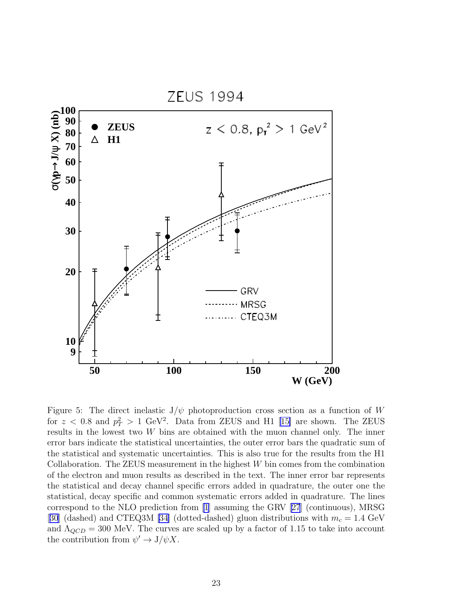<span id="page-31-0"></span>

Figure 5: The direct inelastic  $J/\psi$  photoproduction cross section as a function of W for  $z < 0.8$  and  $p_T^2 > 1$  GeV<sup>2</sup>. Data from ZEUS and H1 [\[15\]](#page-23-0) are shown. The ZEUS results in the lowest two  $W$  bins are obtained with the muon channel only. The inner error bars indicate the statistical uncertainties, the outer error bars the quadratic sum of the statistical and systematic uncertainties. This is also true for the results from the H1 Collaboration. The ZEUS measurement in the highest  $W$  bin comes from the combination of the electron and muon results as described in the text. The inner error bar represents the statistical and decay channel specific errors added in quadrature, the outer one the statistical, decay specific and common systematic errors added in quadrature. The lines correspond to the NLO prediction from [\[1](#page-22-0)] assuming the GRV[[27](#page-23-0)] (continuous), MRSG [[30](#page-23-0)] (dashed) and CTEQ3M [\[34\]](#page-24-0) (dotted-dashed) gluon distributions with  $m_c = 1.4$  GeV and  $\Lambda_{QCD} = 300$  MeV. The curves are scaled up by a factor of 1.15 to take into account the contribution from  $\psi' \to J/\psi X$ .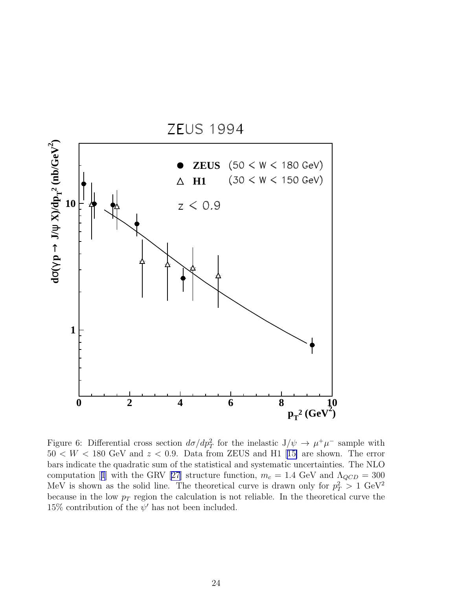<span id="page-32-0"></span>

Figure 6: Differential cross section  $d\sigma/dp_T^2$  for the inelastic  $J/\psi \to \mu^+\mu^-$  sample with  $50 < W < 180$  $50 < W < 180$  $50 < W < 180$  GeV and  $z < 0.9$ . Data from ZEUS and H1 [[15\]](#page-23-0) are shown. The error bars indicate the quadratic sum of the statistical and systematic uncertainties. The NLO computation[[1](#page-22-0)] with the GRV [\[27\]](#page-23-0) structure function,  $m_c = 1.4$  GeV and  $\Lambda_{QCD} = 300$ MeV is shown as the solid line. The theoretical curve is drawn only for  $p_T^2 > 1 \text{ GeV}^2$ because in the low  $p_T$  region the calculation is not reliable. In the theoretical curve the 15% contribution of the  $\psi'$  has not been included.